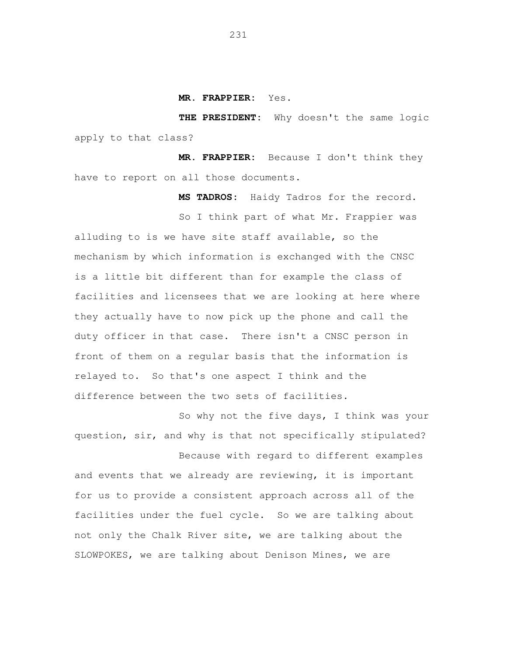**MR. FRAPPIER:** Yes.

 **THE PRESIDENT:** Why doesn't the same logic apply to that class?

 **MR. FRAPPIER:** Because I don't think they have to report on all those documents.

**MS TADROS:** Haidy Tadros for the record.

 So I think part of what Mr. Frappier was alluding to is we have site staff available, so the mechanism by which information is exchanged with the CNSC is a little bit different than for example the class of facilities and licensees that we are looking at here where they actually have to now pick up the phone and call the front of them on a regular basis that the information is relayed to. So that's one aspect I think and the difference between the two sets of facilities. duty officer in that case. There isn't a CNSC person in

 So why not the five days, I think was your question, sir, and why is that not specifically stipulated?

 Because with regard to different examples and events that we already are reviewing, it is important for us to provide a consistent approach across all of the facilities under the fuel cycle. So we are talking about not only the Chalk River site, we are talking about the SLOWPOKES, we are talking about Denison Mines, we are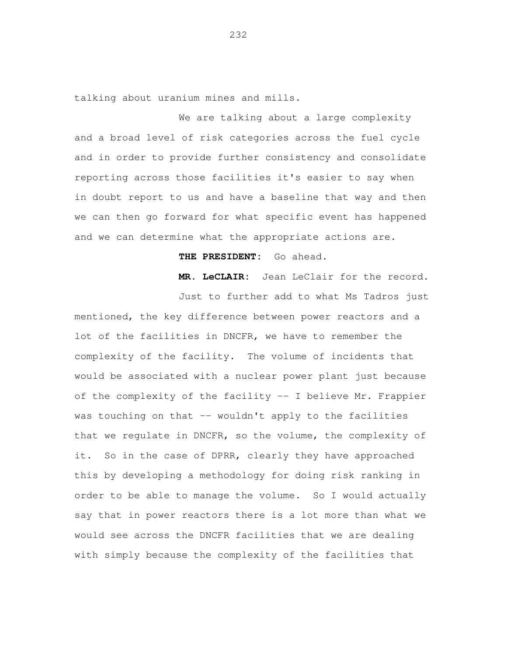talking about uranium mines and mills.

 We are talking about a large complexity and a broad level of risk categories across the fuel cycle and in order to provide further consistency and consolidate reporting across those facilities it's easier to say when in doubt report to us and have a baseline that way and then we can then go forward for what specific event has happened and we can determine what the appropriate actions are.

## **THE PRESIDENT:** Go ahead.

**MR. LeCLAIR:** Jean LeClair for the record.

 Just to further add to what Ms Tadros just mentioned, the key difference between power reactors and a lot of the facilities in DNCFR, we have to remember the complexity of the facility. The volume of incidents that would be associated with a nuclear power plant just because of the complexity of the facility -- I believe Mr. Frappier was touching on that -- wouldn't apply to the facilities that we regulate in DNCFR, so the volume, the complexity of it. So in the case of DPRR, clearly they have approached this by developing a methodology for doing risk ranking in order to be able to manage the volume. So I would actually say that in power reactors there is a lot more than what we would see across the DNCFR facilities that we are dealing with simply because the complexity of the facilities that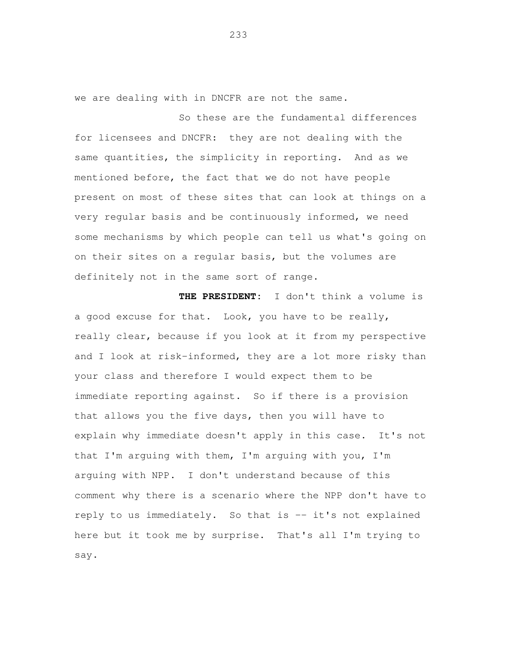we are dealing with in DNCFR are not the same.

 So these are the fundamental differences for licensees and DNCFR: they are not dealing with the same quantities, the simplicity in reporting. And as we mentioned before, the fact that we do not have people present on most of these sites that can look at things on a very regular basis and be continuously informed, we need some mechanisms by which people can tell us what's going on on their sites on a regular basis, but the volumes are definitely not in the same sort of range.

 **THE PRESIDENT:** I don't think a volume is a good excuse for that. Look, you have to be really, really clear, because if you look at it from my perspective and I look at risk-informed, they are a lot more risky than your class and therefore I would expect them to be immediate reporting against. So if there is a provision that allows you the five days, then you will have to explain why immediate doesn't apply in this case. It's not that I'm arguing with them, I'm arguing with you, I'm arguing with NPP. I don't understand because of this comment why there is a scenario where the NPP don't have to reply to us immediately. So that is -- it's not explained here but it took me by surprise. That's all I'm trying to say.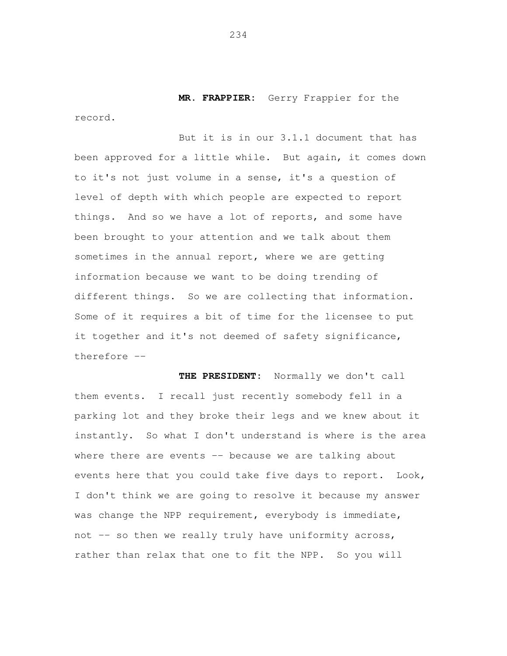**MR. FRAPPIER:** Gerry Frappier for the

 But it is in our 3.1.1 document that has been approved for a little while. But again, it comes down to it's not just volume in a sense, it's a question of level of depth with which people are expected to report things. And so we have a lot of reports, and some have been brought to your attention and we talk about them sometimes in the annual report, where we are getting information because we want to be doing trending of different things. So we are collecting that information. Some of it requires a bit of time for the licensee to put it together and it's not deemed of safety significance, therefore -

 **THE PRESIDENT:** Normally we don't call them events. I recall just recently somebody fell in a parking lot and they broke their legs and we knew about it instantly. So what I don't understand is where is the area where there are events -- because we are talking about events here that you could take five days to report. Look, I don't think we are going to resolve it because my answer was change the NPP requirement, everybody is immediate, not -- so then we really truly have uniformity across, rather than relax that one to fit the NPP. So you will

234

record.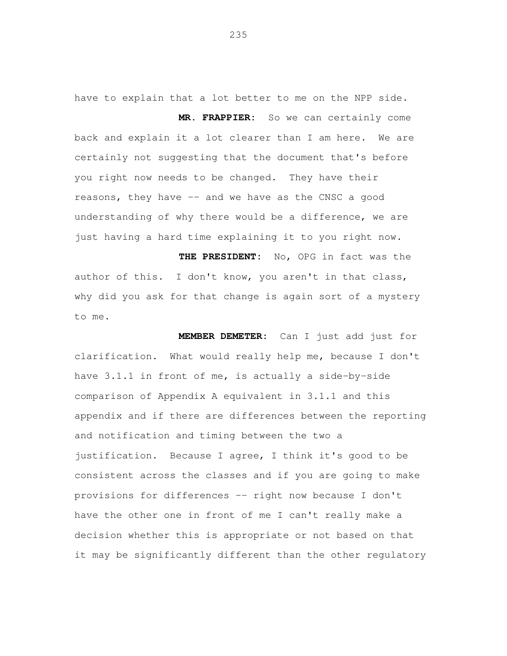have to explain that a lot better to me on the NPP side. **MR. FRAPPIER:** So we can certainly come back and explain it a lot clearer than I am here. We are certainly not suggesting that the document that's before you right now needs to be changed. They have their reasons, they have -- and we have as the CNSC a good understanding of why there would be a difference, we are just having a hard time explaining it to you right now.

 **THE PRESIDENT:** No, OPG in fact was the author of this. I don't know, you aren't in that class, why did you ask for that change is again sort of a mystery to me.

 **MEMBER DEMETER:** Can I just add just for clarification. What would really help me, because I don't have 3.1.1 in front of me, is actually a side-by-side comparison of Appendix A equivalent in 3.1.1 and this appendix and if there are differences between the reporting and notification and timing between the two a justification. Because I agree, I think it's good to be consistent across the classes and if you are going to make provisions for differences -- right now because I don't have the other one in front of me I can't really make a decision whether this is appropriate or not based on that it may be significantly different than the other regulatory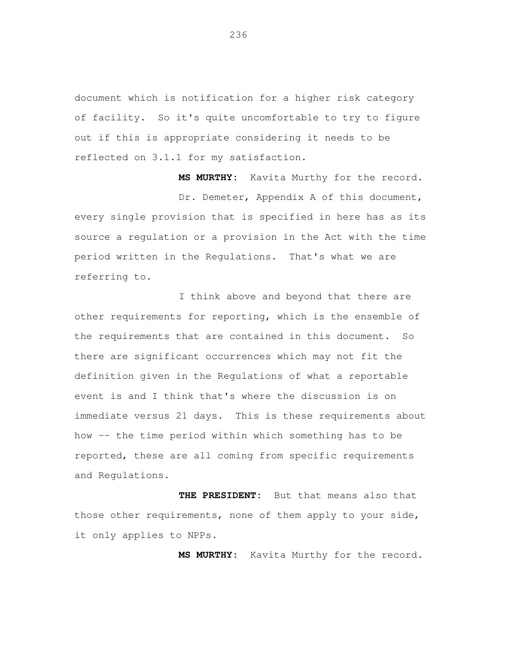document which is notification for a higher risk category of facility. So it's quite uncomfortable to try to figure out if this is appropriate considering it needs to be reflected on 3.1.1 for my satisfaction.

 **MS MURTHY:** Kavita Murthy for the record. Dr. Demeter, Appendix A of this document, every single provision that is specified in here has as its source a regulation or a provision in the Act with the time period written in the Regulations. That's what we are referring to.

 I think above and beyond that there are other requirements for reporting, which is the ensemble of the requirements that are contained in this document. So there are significant occurrences which may not fit the definition given in the Regulations of what a reportable event is and I think that's where the discussion is on immediate versus 21 days. This is these requirements about how -- the time period within which something has to be reported, these are all coming from specific requirements and Regulations.

 **THE PRESIDENT:** But that means also that those other requirements, none of them apply to your side, it only applies to NPPs.

**MS MURTHY:** Kavita Murthy for the record.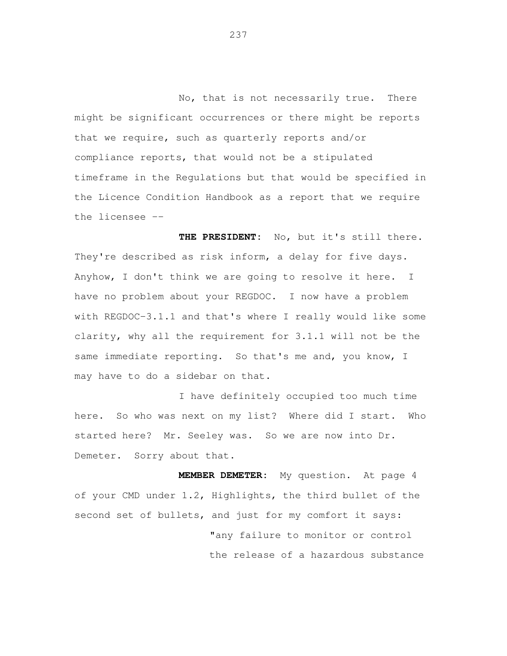No, that is not necessarily true. There might be significant occurrences or there might be reports that we require, such as quarterly reports and/or compliance reports, that would not be a stipulated timeframe in the Regulations but that would be specified in the Licence Condition Handbook as a report that we require the licensee -

 **THE PRESIDENT:** No, but it's still there. They're described as risk inform, a delay for five days. Anyhow, I don't think we are going to resolve it here. I have no problem about your REGDOC. I now have a problem with REGDOC-3.1.1 and that's where I really would like some clarity, why all the requirement for 3.1.1 will not be the same immediate reporting. So that's me and, you know, I may have to do a sidebar on that.

 I have definitely occupied too much time here. So who was next on my list? Where did I start. Who started here? Mr. Seeley was. So we are now into Dr. Demeter. Sorry about that.

 **MEMBER DEMETER:** My question. At page 4 of your CMD under 1.2, Highlights, the third bullet of the second set of bullets, and just for my comfort it says: "any failure to monitor or control the release of a hazardous substance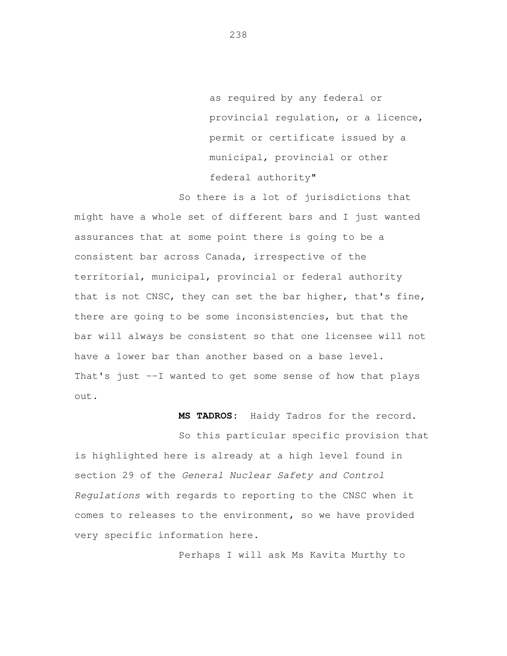as required by any federal or provincial regulation, or a licence, permit or certificate issued by a municipal, provincial or other federal authority"

 So there is a lot of jurisdictions that might have a whole set of different bars and I just wanted assurances that at some point there is going to be a consistent bar across Canada, irrespective of the territorial, municipal, provincial or federal authority that is not CNSC, they can set the bar higher, that's fine, there are going to be some inconsistencies, but that the bar will always be consistent so that one licensee will not have a lower bar than another based on a base level. That's just --I wanted to get some sense of how that plays out.

**MS TADROS:** Haidy Tadros for the record.

 So this particular specific provision that is highlighted here is already at a high level found in section 29 of the General Nuclear Safety and Control Regulations with regards to reporting to the CNSC when it comes to releases to the environment, so we have provided very specific information here.

Perhaps I will ask Ms Kavita Murthy to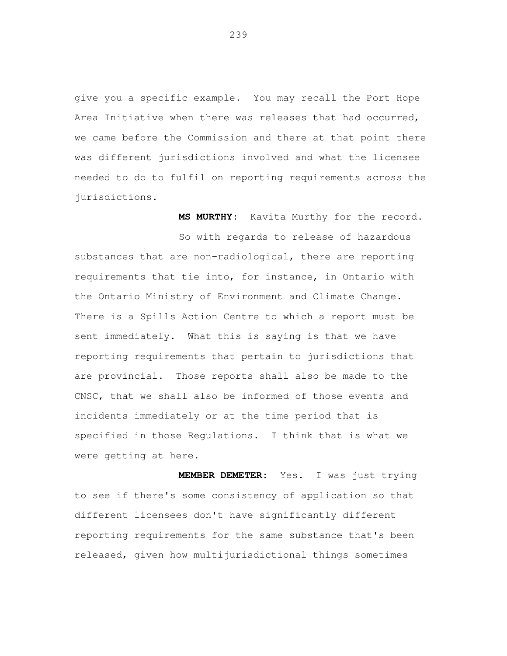give you a specific example. You may recall the Port Hope Area Initiative when there was releases that had occurred, we came before the Commission and there at that point there was different jurisdictions involved and what the licensee needed to do to fulfil on reporting requirements across the jurisdictions.

**MS MURTHY:** Kavita Murthy for the record.

 So with regards to release of hazardous substances that are non-radiological, there are reporting requirements that tie into, for instance, in Ontario with the Ontario Ministry of Environment and Climate Change. There is a Spills Action Centre to which a report must be sent immediately. What this is saying is that we have reporting requirements that pertain to jurisdictions that are provincial. Those reports shall also be made to the CNSC, that we shall also be informed of those events and incidents immediately or at the time period that is specified in those Regulations. I think that is what we were getting at here.

 **MEMBER DEMETER:** Yes. I was just trying to see if there's some consistency of application so that different licensees don't have significantly different reporting requirements for the same substance that's been released, given how multijurisdictional things sometimes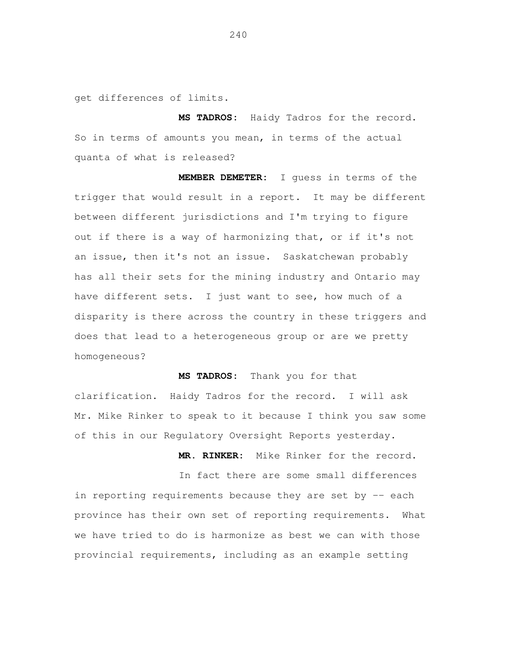get differences of limits.

 **MS TADROS:** Haidy Tadros for the record. So in terms of amounts you mean, in terms of the actual quanta of what is released?

 **MEMBER DEMETER:** I guess in terms of the trigger that would result in a report. It may be different between different jurisdictions and I'm trying to figure out if there is a way of harmonizing that, or if it's not an issue, then it's not an issue. Saskatchewan probably has all their sets for the mining industry and Ontario may have different sets. I just want to see, how much of a disparity is there across the country in these triggers and does that lead to a heterogeneous group or are we pretty homogeneous?

 clarification. Haidy Tadros for the record. I will ask Mr. Mike Rinker to speak to it because I think you saw some of this in our Regulatory Oversight Reports yesterday.

**MS TADROS:** 

**MR. RINKER:** Mike Rinker for the record.

Thank you for that

 In fact there are some small differences in reporting requirements because they are set by -- each province has their own set of reporting requirements. What we have tried to do is harmonize as best we can with those provincial requirements, including as an example setting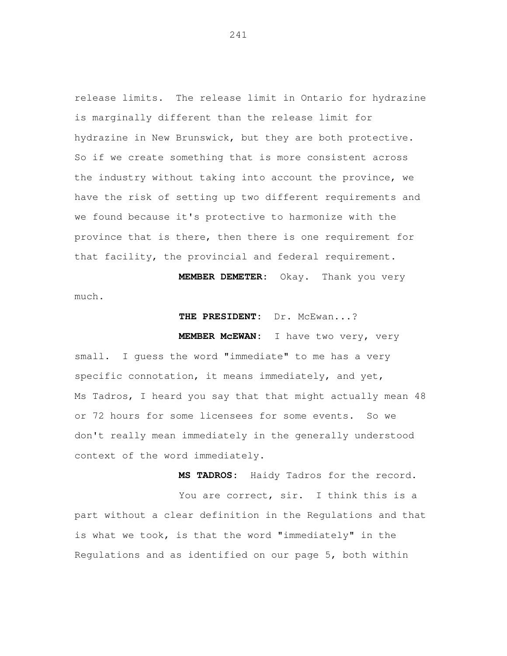release limits. The release limit in Ontario for hydrazine is marginally different than the release limit for hydrazine in New Brunswick, but they are both protective. So if we create something that is more consistent across the industry without taking into account the province, we have the risk of setting up two different requirements and we found because it's protective to harmonize with the province that is there, then there is one requirement for that facility, the provincial and federal requirement.

**MEMBER DEMETER:** Okay. Thank you very

## THE PRESIDENT: Dr. McEwan...?

## **MEMBER McEWAN:** I have two very, very

small. I guess the word "immediate" to me has a very specific connotation, it means immediately, and yet, Ms Tadros, I heard you say that that might actually mean 48 or 72 hours for some licensees for some events. So we don't really mean immediately in the generally understood context of the word immediately.

much.

**MS TADROS:** Haidy Tadros for the record. You are correct, sir. I think this is a part without a clear definition in the Regulations and that is what we took, is that the word "immediately" in the Regulations and as identified on our page 5, both within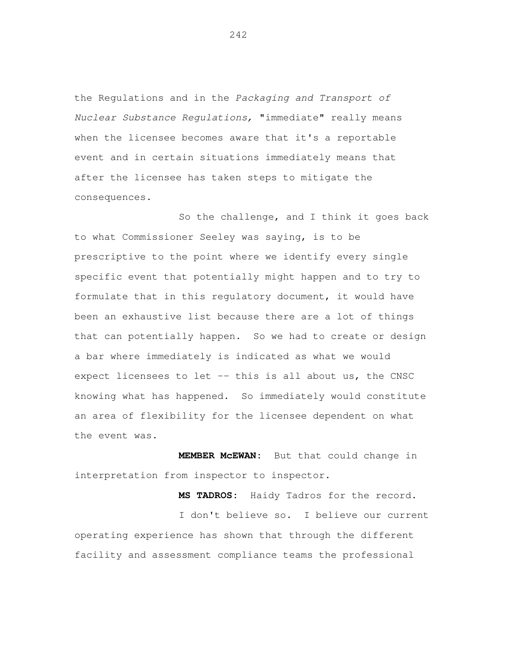the Regulations and in the Packaging and Transport of Nuclear Substance Regulations, "immediate" really means when the licensee becomes aware that it's a reportable event and in certain situations immediately means that after the licensee has taken steps to mitigate the consequences.

 So the challenge, and I think it goes back to what Commissioner Seeley was saying, is to be prescriptive to the point where we identify every single specific event that potentially might happen and to try to formulate that in this regulatory document, it would have been an exhaustive list because there are a lot of things that can potentially happen. So we had to create or design a bar where immediately is indicated as what we would expect licensees to let -- this is all about us, the CNSC knowing what has happened. So immediately would constitute an area of flexibility for the licensee dependent on what the event was.

 **MEMBER McEWAN:** But that could change in interpretation from inspector to inspector.

 **MS TADROS:** Haidy Tadros for the record. I don't believe so. I believe our current operating experience has shown that through the different facility and assessment compliance teams the professional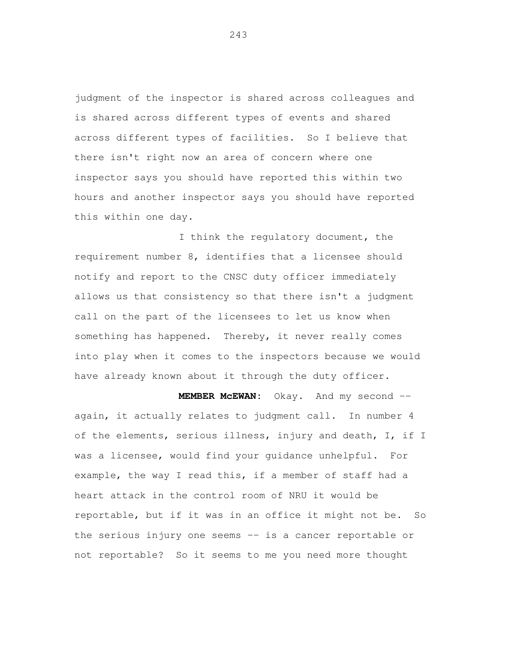judgment of the inspector is shared across colleagues and is shared across different types of events and shared across different types of facilities. So I believe that there isn't right now an area of concern where one inspector says you should have reported this within two hours and another inspector says you should have reported this within one day.

 I think the regulatory document, the requirement number 8, identifies that a licensee should notify and report to the CNSC duty officer immediately allows us that consistency so that there isn't a judgment call on the part of the licensees to let us know when something has happened. Thereby, it never really comes into play when it comes to the inspectors because we would have already known about it through the duty officer.

 **MEMBER McEWAN:** Okay. And my second - again, it actually relates to judgment call. In number 4 of the elements, serious illness, injury and death, I, if I was a licensee, would find your guidance unhelpful. For example, the way I read this, if a member of staff had a heart attack in the control room of NRU it would be reportable, but if it was in an office it might not be. So the serious injury one seems -- is a cancer reportable or not reportable? So it seems to me you need more thought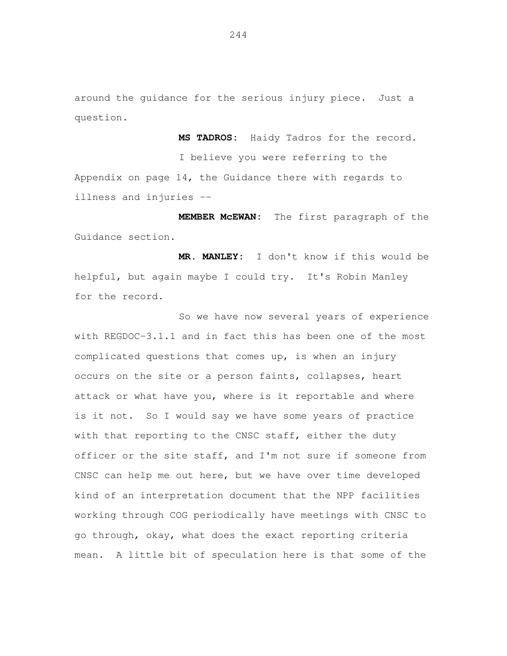around the guidance for the serious injury piece. Just a question.

 **MS TADROS:** Haidy Tadros for the record. I believe you were referring to the Appendix on page 14, the Guidance there with regards to illness and injuries -

 **MEMBER McEWAN:** The first paragraph of the Guidance section.

 **MR. MANLEY:** I don't know if this would be helpful, but again maybe I could try. It's Robin Manley for the record.

 So we have now several years of experience with REGDOC-3.1.1 and in fact this has been one of the most complicated questions that comes up, is when an injury occurs on the site or a person faints, collapses, heart attack or what have you, where is it reportable and where is it not. So I would say we have some years of practice with that reporting to the CNSC staff, either the duty officer or the site staff, and I'm not sure if someone from CNSC can help me out here, but we have over time developed kind of an interpretation document that the NPP facilities working through COG periodically have meetings with CNSC to go through, okay, what does the exact reporting criteria mean. A little bit of speculation here is that some of the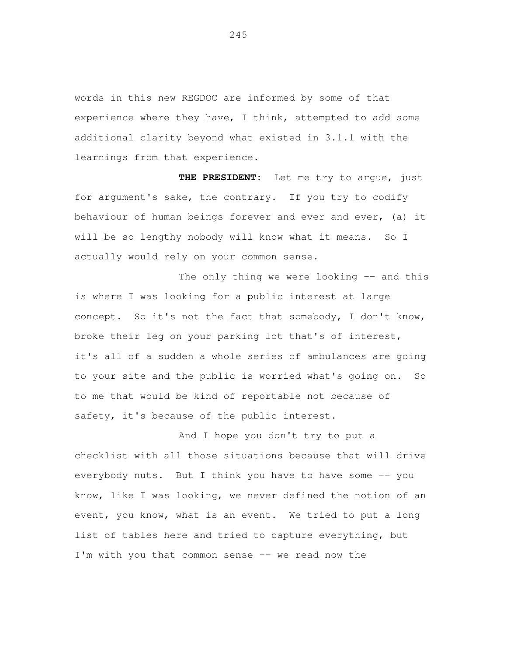words in this new REGDOC are informed by some of that experience where they have, I think, attempted to add some additional clarity beyond what existed in 3.1.1 with the learnings from that experience.

 **THE PRESIDENT:** Let me try to argue, just for argument's sake, the contrary. If you try to codify behaviour of human beings forever and ever and ever, (a) it will be so lengthy nobody will know what it means. So I actually would rely on your common sense.

The only thing we were looking -- and this is where I was looking for a public interest at large concept. So it's not the fact that somebody, I don't know, broke their leg on your parking lot that's of interest, it's all of a sudden a whole series of ambulances are going to your site and the public is worried what's going on. So to me that would be kind of reportable not because of safety, it's because of the public interest.

 And I hope you don't try to put a checklist with all those situations because that will drive everybody nuts. But I think you have to have some -- you know, like I was looking, we never defined the notion of an event, you know, what is an event. We tried to put a long list of tables here and tried to capture everything, but I'm with you that common sense -- we read now the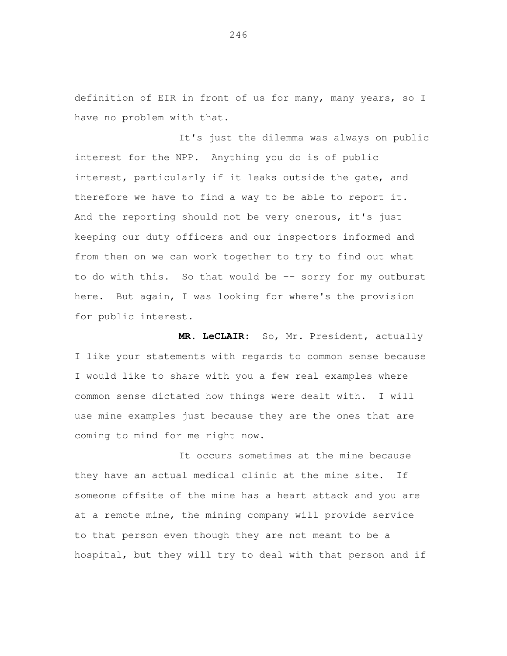definition of EIR in front of us for many, many years, so I have no problem with that.

 It's just the dilemma was always on public interest for the NPP. Anything you do is of public interest, particularly if it leaks outside the gate, and therefore we have to find a way to be able to report it. And the reporting should not be very onerous, it's just keeping our duty officers and our inspectors informed and from then on we can work together to try to find out what to do with this. So that would be -- sorry for my outburst here. But again, I was looking for where's the provision for public interest.

 **MR. LeCLAIR:** So, Mr. President, actually I like your statements with regards to common sense because I would like to share with you a few real examples where common sense dictated how things were dealt with. I will use mine examples just because they are the ones that are coming to mind for me right now.

 It occurs sometimes at the mine because they have an actual medical clinic at the mine site. If someone offsite of the mine has a heart attack and you are at a remote mine, the mining company will provide service to that person even though they are not meant to be a hospital, but they will try to deal with that person and if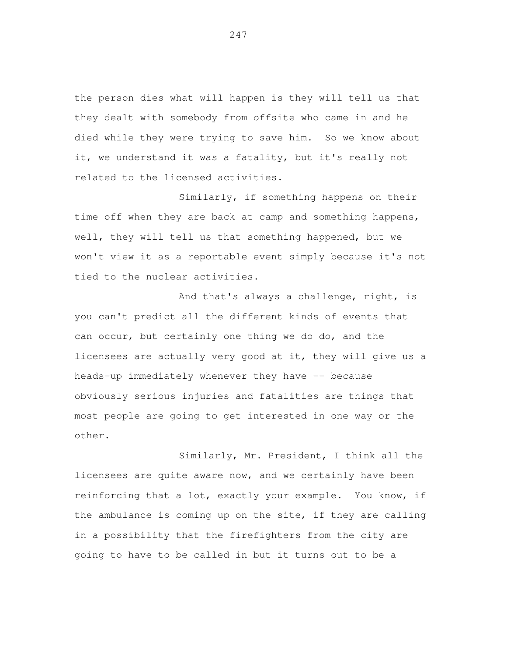the person dies what will happen is they will tell us that they dealt with somebody from offsite who came in and he died while they were trying to save him. So we know about it, we understand it was a fatality, but it's really not related to the licensed activities.

 Similarly, if something happens on their time off when they are back at camp and something happens, well, they will tell us that something happened, but we won't view it as a reportable event simply because it's not tied to the nuclear activities.

 And that's always a challenge, right, is you can't predict all the different kinds of events that can occur, but certainly one thing we do do, and the licensees are actually very good at it, they will give us a heads-up immediately whenever they have -- because obviously serious injuries and fatalities are things that most people are going to get interested in one way or the other.

 Similarly, Mr. President, I think all the licensees are quite aware now, and we certainly have been reinforcing that a lot, exactly your example. You know, if the ambulance is coming up on the site, if they are calling in a possibility that the firefighters from the city are going to have to be called in but it turns out to be a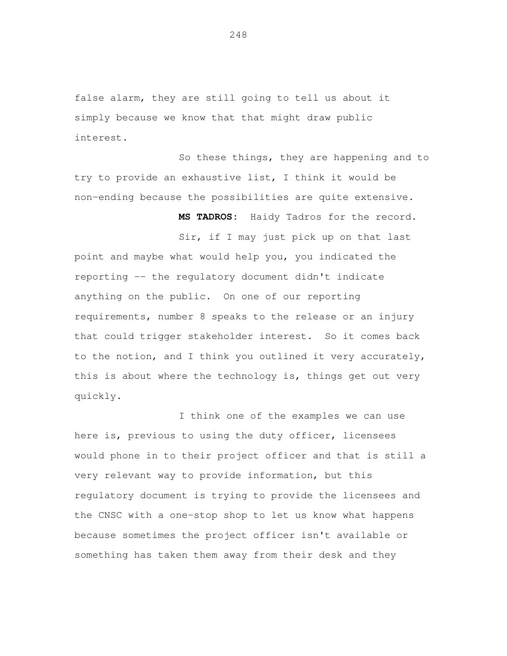false alarm, they are still going to tell us about it simply because we know that that might draw public interest.

 So these things, they are happening and to try to provide an exhaustive list, I think it would be non-ending because the possibilities are quite extensive.

**MS TADROS:** Haidy Tadros for the record.

 Sir, if I may just pick up on that last point and maybe what would help you, you indicated the reporting -- the regulatory document didn't indicate anything on the public. On one of our reporting requirements, number 8 speaks to the release or an injury that could trigger stakeholder interest. So it comes back to the notion, and I think you outlined it very accurately, this is about where the technology is, things get out very quickly.

 I think one of the examples we can use here is, previous to using the duty officer, licensees would phone in to their project officer and that is still a very relevant way to provide information, but this regulatory document is trying to provide the licensees and the CNSC with a one-stop shop to let us know what happens because sometimes the project officer isn't available or something has taken them away from their desk and they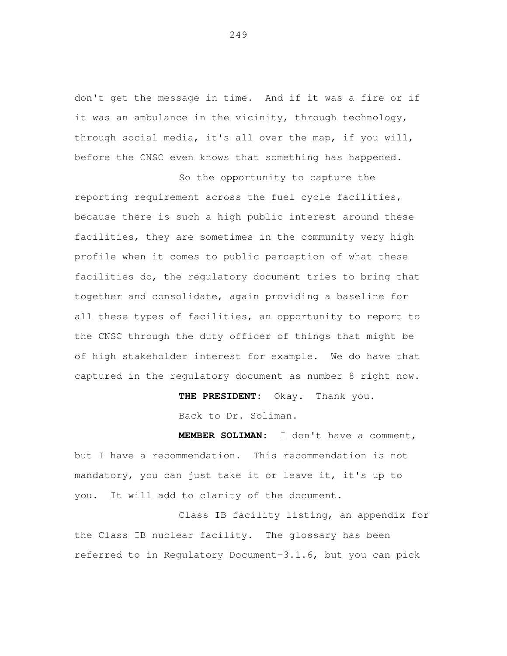don't get the message in time. And if it was a fire or if it was an ambulance in the vicinity, through technology, through social media, it's all over the map, if you will, before the CNSC even knows that something has happened.

 So the opportunity to capture the reporting requirement across the fuel cycle facilities, because there is such a high public interest around these facilities, they are sometimes in the community very high profile when it comes to public perception of what these facilities do, the regulatory document tries to bring that together and consolidate, again providing a baseline for all these types of facilities, an opportunity to report to the CNSC through the duty officer of things that might be of high stakeholder interest for example. We do have that captured in the regulatory document as number 8 right now.

**THE PRESIDENT:** Okay. Thank you.

Back to Dr. Soliman.

 **MEMBER SOLIMAN:** I don't have a comment, but I have a recommendation. This recommendation is not mandatory, you can just take it or leave it, it's up to you. It will add to clarity of the document.

 Class IB facility listing, an appendix for the Class IB nuclear facility. The glossary has been referred to in Regulatory Document-3.1.6, but you can pick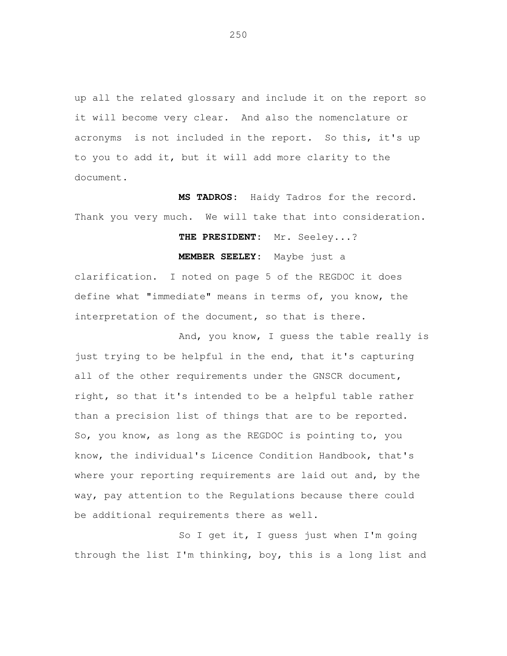up all the related glossary and include it on the report so it will become very clear. And also the nomenclature or acronyms is not included in the report. So this, it's up to you to add it, but it will add more clarity to the document.

 **MS TADROS:** Haidy Tadros for the record. Thank you very much. We will take that into consideration.

## **THE PRESIDENT:** Mr. Seeley...?

**MEMBER SEELEY:** Maybe just a

 clarification. I noted on page 5 of the REGDOC it does define what "immediate" means in terms of, you know, the interpretation of the document, so that is there.

 And, you know, I guess the table really is just trying to be helpful in the end, that it's capturing all of the other requirements under the GNSCR document, right, so that it's intended to be a helpful table rather than a precision list of things that are to be reported. So, you know, as long as the REGDOC is pointing to, you know, the individual's Licence Condition Handbook, that's where your reporting requirements are laid out and, by the way, pay attention to the Regulations because there could be additional requirements there as well.

 So I get it, I guess just when I'm going through the list I'm thinking, boy, this is a long list and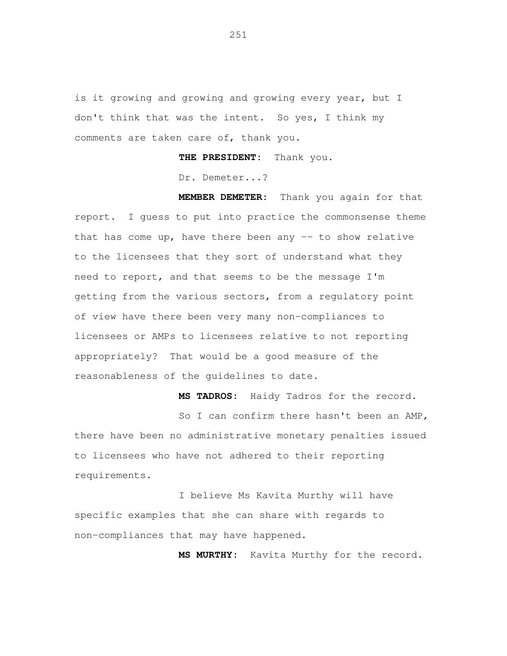is it growing and growing and growing every year, but I don't think that was the intent. So yes, I think my comments are taken care of, thank you.

**THE PRESIDENT:** Thank you.

Dr. Demeter...?

 **MEMBER DEMETER:** Thank you again for that report. I guess to put into practice the commonsense theme that has come up, have there been any  $-$  to show relative to the licensees that they sort of understand what they need to report, and that seems to be the message I'm getting from the various sectors, from a regulatory point of view have there been very many non-compliances to licensees or AMPs to licensees relative to not reporting appropriately? That would be a good measure of the reasonableness of the guidelines to date.

**MS TADROS:** Haidy Tadros for the record.

So I can confirm there hasn't been an AMP, there have been no administrative monetary penalties issued to licensees who have not adhered to their reporting requirements.

 I believe Ms Kavita Murthy will have specific examples that she can share with regards to non-compliances that may have happened.

**MS MURTHY:** Kavita Murthy for the record.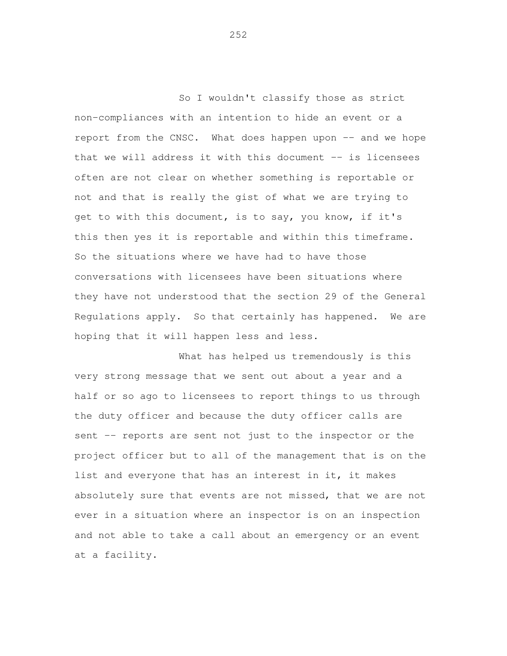So I wouldn't classify those as strict non-compliances with an intention to hide an event or a report from the CNSC. What does happen upon -- and we hope that we will address it with this document -- is licensees often are not clear on whether something is reportable or not and that is really the gist of what we are trying to get to with this document, is to say, you know, if it's this then yes it is reportable and within this timeframe. So the situations where we have had to have those conversations with licensees have been situations where they have not understood that the section 29 of the General Regulations apply. So that certainly has happened. We are hoping that it will happen less and less.

 What has helped us tremendously is this very strong message that we sent out about a year and a half or so ago to licensees to report things to us through the duty officer and because the duty officer calls are sent -- reports are sent not just to the inspector or the project officer but to all of the management that is on the list and everyone that has an interest in it, it makes absolutely sure that events are not missed, that we are not ever in a situation where an inspector is on an inspection and not able to take a call about an emergency or an event at a facility.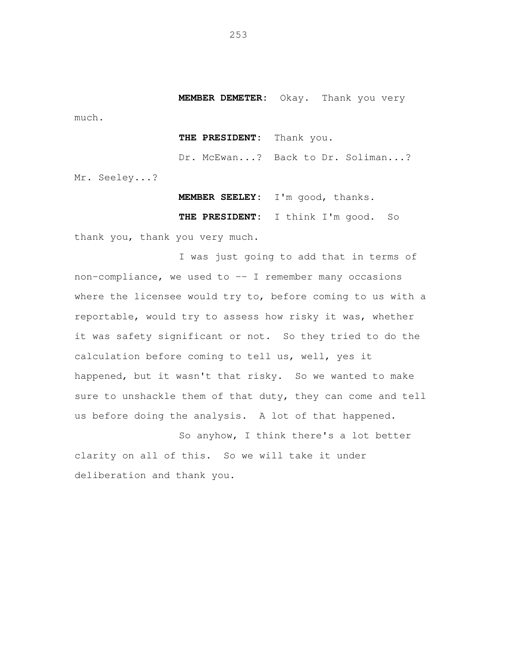**MEMBER DEMETER:** Okay. Thank you very

much.

## **THE PRESIDENT:** Thank you.

Dr. McEwan...? Back to Dr. Soliman...?

Mr. Seeley...?

**MEMBER SEELEY:** I'm good, thanks.

**THE PRESIDENT:** I think I'm good. So

thank you, thank you very much.

I was just going to add that in terms of non-compliance, we used to -- I remember many occasions where the licensee would try to, before coming to us with a reportable, would try to assess how risky it was, whether it was safety significant or not. So they tried to do the calculation before coming to tell us, well, yes it happened, but it wasn't that risky. So we wanted to make sure to unshackle them of that duty, they can come and tell us before doing the analysis. A lot of that happened.

So anyhow, I think there's a lot better clarity on all of this. So we will take it under deliberation and thank you.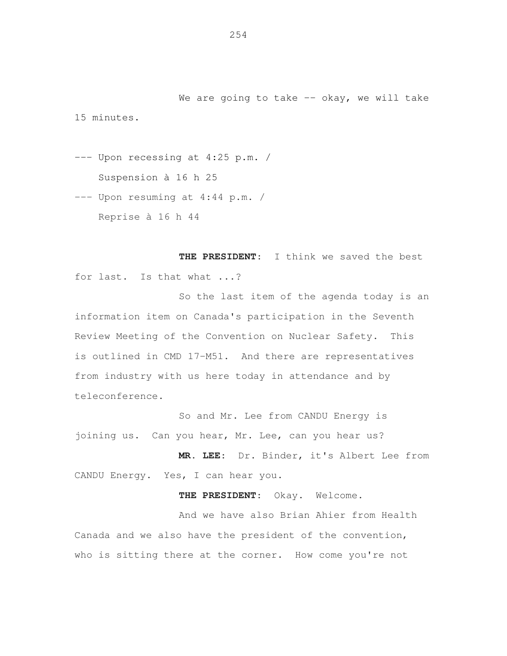We are going to take  $-$  okay, we will take 15 minutes.

--- Upon recessing at 4:25 p.m. / Suspension à 16 h 25

--- Upon resuming at 4:44 p.m. / Reprise à 16 h 44

**THE PRESIDENT**: I think we saved the best for last. Is that what ...?

So the last item of the agenda today is an information item on Canada's participation in the Seventh Review Meeting of the Convention on Nuclear Safety. This is outlined in CMD 17-M51. And there are representatives from industry with us here today in attendance and by teleconference.

So and Mr. Lee from CANDU Energy is joining us. Can you hear, Mr. Lee, can you hear us?

**MR. LEE**: Dr. Binder, it's Albert Lee from CANDU Energy. Yes, I can hear you.

**THE PRESIDENT**: Okay. Welcome.

And we have also Brian Ahier from Health Canada and we also have the president of the convention, who is sitting there at the corner. How come you're not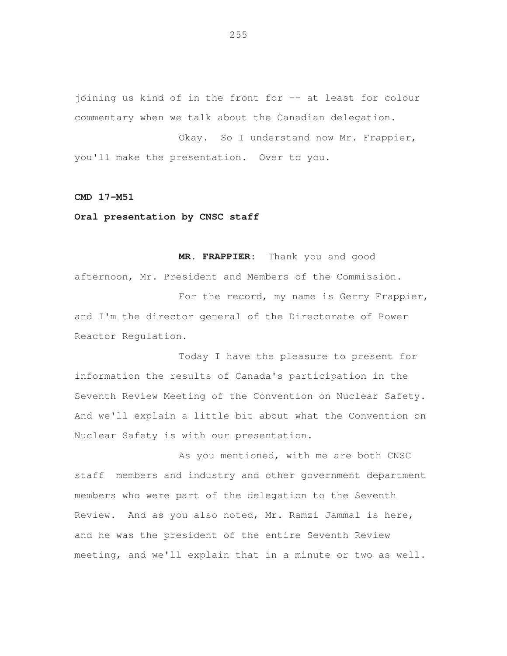joining us kind of in the front for -- at least for colour commentary when we talk about the Canadian delegation.

Okay. So I understand now Mr. Frappier, you'll make the presentation. Over to you.

## **CMD 17-M51**

## **Oral presentation by CNSC staff**

 **MR. FRAPPIER**: Thank you and good afternoon, Mr. President and Members of the Commission.

For the record, my name is Gerry Frappier, and I'm the director general of the Directorate of Power Reactor Regulation.

 Today I have the pleasure to present for information the results of Canada's participation in the Seventh Review Meeting of the Convention on Nuclear Safety. And we'll explain a little bit about what the Convention on Nuclear Safety is with our presentation.

 As you mentioned, with me are both CNSC staff members and industry and other government department members who were part of the delegation to the Seventh Review. And as you also noted, Mr. Ramzi Jammal is here, and he was the president of the entire Seventh Review meeting, and we'll explain that in a minute or two as well.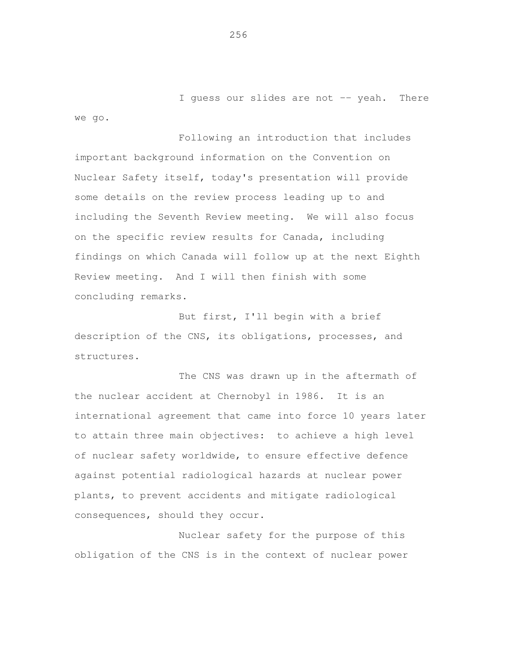I guess our slides are not -- yeah. There we go.

 Following an introduction that includes important background information on the Convention on Nuclear Safety itself, today's presentation will provide some details on the review process leading up to and including the Seventh Review meeting. We will also focus on the specific review results for Canada, including findings on which Canada will follow up at the next Eighth Review meeting. And I will then finish with some concluding remarks.

 But first, I'll begin with a brief description of the CNS, its obligations, processes, and structures.

 The CNS was drawn up in the aftermath of the nuclear accident at Chernobyl in 1986. It is an international agreement that came into force 10 years later to attain three main objectives: to achieve a high level of nuclear safety worldwide, to ensure effective defence against potential radiological hazards at nuclear power plants, to prevent accidents and mitigate radiological consequences, should they occur.

 Nuclear safety for the purpose of this obligation of the CNS is in the context of nuclear power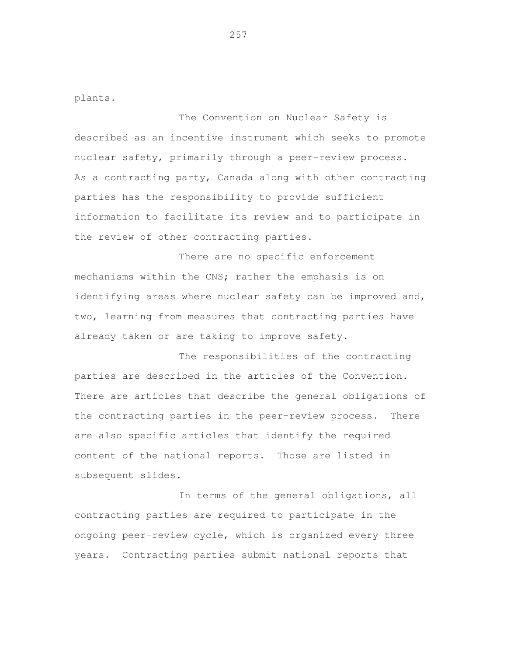plants.

 The Convention on Nuclear Safety is described as an incentive instrument which seeks to promote nuclear safety, primarily through a peer-review process. As a contracting party, Canada along with other contracting parties has the responsibility to provide sufficient information to facilitate its review and to participate in the review of other contracting parties.

 There are no specific enforcement mechanisms within the CNS; rather the emphasis is on identifying areas where nuclear safety can be improved and, two, learning from measures that contracting parties have already taken or are taking to improve safety.

 The responsibilities of the contracting parties are described in the articles of the Convention. There are articles that describe the general obligations of the contracting parties in the peer-review process. There are also specific articles that identify the required content of the national reports. Those are listed in subsequent slides.

 In terms of the general obligations, all contracting parties are required to participate in the ongoing peer-review cycle, which is organized every three years. Contracting parties submit national reports that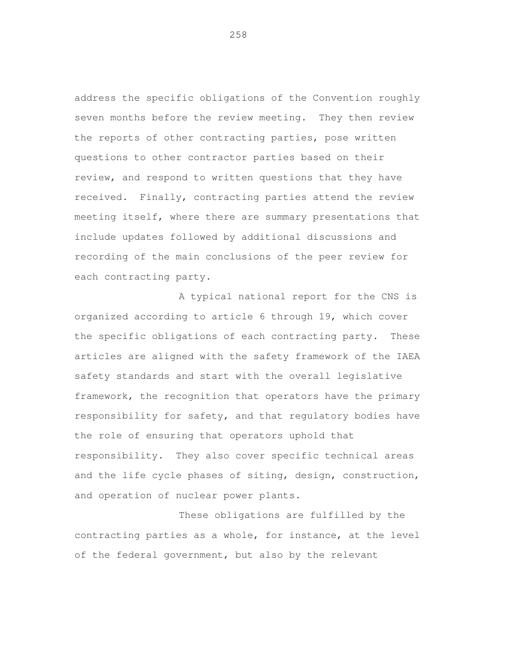address the specific obligations of the Convention roughly seven months before the review meeting. They then review the reports of other contracting parties, pose written questions to other contractor parties based on their review, and respond to written questions that they have received. Finally, contracting parties attend the review meeting itself, where there are summary presentations that include updates followed by additional discussions and recording of the main conclusions of the peer review for each contracting party.

 A typical national report for the CNS is organized according to article 6 through 19, which cover the specific obligations of each contracting party. These articles are aligned with the safety framework of the IAEA safety standards and start with the overall legislative framework, the recognition that operators have the primary responsibility for safety, and that regulatory bodies have the role of ensuring that operators uphold that responsibility. They also cover specific technical areas and the life cycle phases of siting, design, construction, and operation of nuclear power plants.

 These obligations are fulfilled by the contracting parties as a whole, for instance, at the level of the federal government, but also by the relevant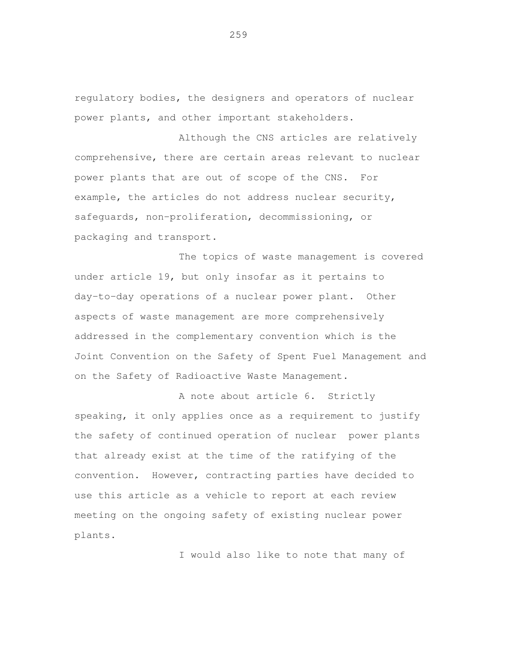regulatory bodies, the designers and operators of nuclear power plants, and other important stakeholders.

 Although the CNS articles are relatively comprehensive, there are certain areas relevant to nuclear power plants that are out of scope of the CNS. For example, the articles do not address nuclear security, safeguards, non-proliferation, decommissioning, or packaging and transport.

 The topics of waste management is covered under article 19, but only insofar as it pertains to day-to-day operations of a nuclear power plant. Other aspects of waste management are more comprehensively addressed in the complementary convention which is the Joint Convention on the Safety of Spent Fuel Management and on the Safety of Radioactive Waste Management.

 A note about article 6. Strictly speaking, it only applies once as a requirement to justify the safety of continued operation of nuclear power plants that already exist at the time of the ratifying of the convention. However, contracting parties have decided to use this article as a vehicle to report at each review meeting on the ongoing safety of existing nuclear power plants.

I would also like to note that many of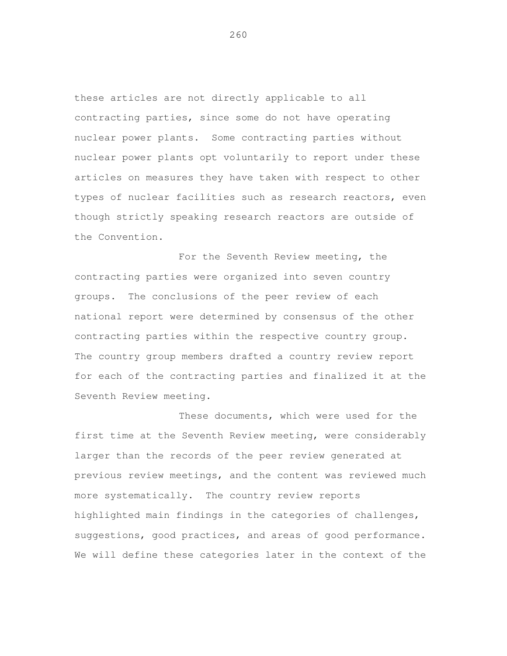these articles are not directly applicable to all contracting parties, since some do not have operating nuclear power plants. Some contracting parties without nuclear power plants opt voluntarily to report under these articles on measures they have taken with respect to other types of nuclear facilities such as research reactors, even though strictly speaking research reactors are outside of the Convention.

 For the Seventh Review meeting, the contracting parties were organized into seven country groups. The conclusions of the peer review of each national report were determined by consensus of the other contracting parties within the respective country group. The country group members drafted a country review report for each of the contracting parties and finalized it at the Seventh Review meeting.

 These documents, which were used for the first time at the Seventh Review meeting, were considerably larger than the records of the peer review generated at previous review meetings, and the content was reviewed much more systematically. The country review reports highlighted main findings in the categories of challenges, suggestions, good practices, and areas of good performance. We will define these categories later in the context of the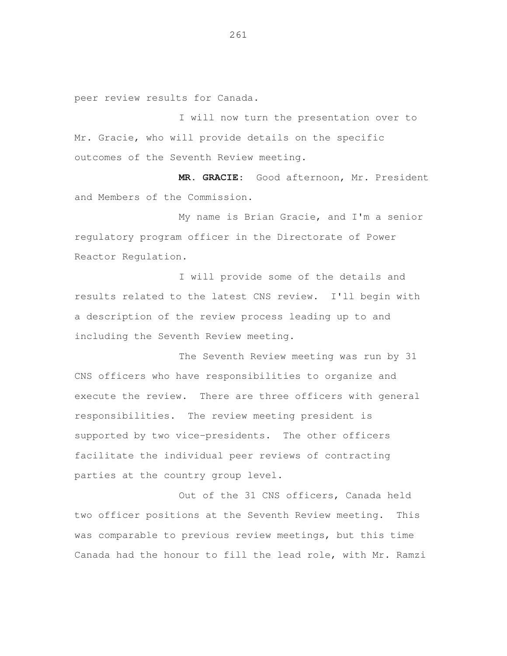peer review results for Canada.

 I will now turn the presentation over to Mr. Gracie, who will provide details on the specific outcomes of the Seventh Review meeting.

 **MR. GRACIE**: Good afternoon, Mr. President and Members of the Commission.

 My name is Brian Gracie, and I'm a senior regulatory program officer in the Directorate of Power Reactor Regulation.

 I will provide some of the details and results related to the latest CNS review. I'll begin with a description of the review process leading up to and including the Seventh Review meeting.

 The Seventh Review meeting was run by 31 CNS officers who have responsibilities to organize and execute the review. There are three officers with general responsibilities. The review meeting president is supported by two vice-presidents. The other officers facilitate the individual peer reviews of contracting parties at the country group level.

 Out of the 31 CNS officers, Canada held two officer positions at the Seventh Review meeting. This was comparable to previous review meetings, but this time Canada had the honour to fill the lead role, with Mr. Ramzi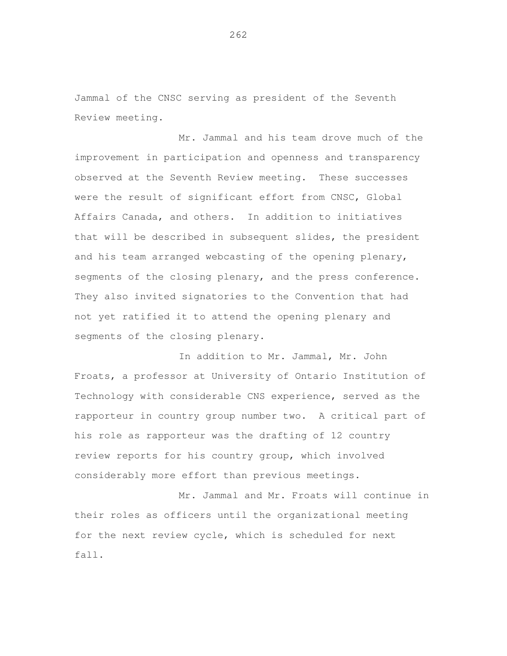Jammal of the CNSC serving as president of the Seventh Review meeting.

 Mr. Jammal and his team drove much of the improvement in participation and openness and transparency observed at the Seventh Review meeting. These successes were the result of significant effort from CNSC, Global Affairs Canada, and others. In addition to initiatives that will be described in subsequent slides, the president and his team arranged webcasting of the opening plenary, segments of the closing plenary, and the press conference. They also invited signatories to the Convention that had not yet ratified it to attend the opening plenary and segments of the closing plenary.

 In addition to Mr. Jammal, Mr. John Froats, a professor at University of Ontario Institution of Technology with considerable CNS experience, served as the rapporteur in country group number two. A critical part of his role as rapporteur was the drafting of 12 country review reports for his country group, which involved considerably more effort than previous meetings.

 Mr. Jammal and Mr. Froats will continue in their roles as officers until the organizational meeting for the next review cycle, which is scheduled for next fall.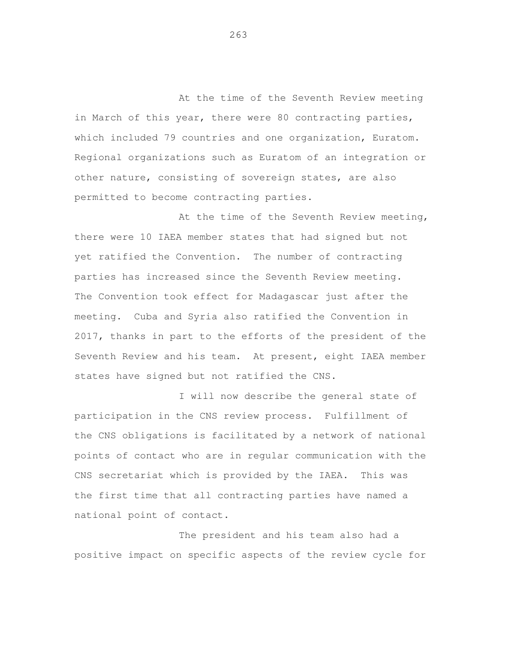At the time of the Seventh Review meeting in March of this year, there were 80 contracting parties, which included 79 countries and one organization, Euratom. Regional organizations such as Euratom of an integration or other nature, consisting of sovereign states, are also permitted to become contracting parties.

At the time of the Seventh Review meeting, there were 10 IAEA member states that had signed but not yet ratified the Convention. The number of contracting parties has increased since the Seventh Review meeting. The Convention took effect for Madagascar just after the meeting. Cuba and Syria also ratified the Convention in 2017, thanks in part to the efforts of the president of the Seventh Review and his team. At present, eight IAEA member states have signed but not ratified the CNS.

 I will now describe the general state of participation in the CNS review process. Fulfillment of the CNS obligations is facilitated by a network of national points of contact who are in regular communication with the CNS secretariat which is provided by the IAEA. This was the first time that all contracting parties have named a national point of contact.

 The president and his team also had a positive impact on specific aspects of the review cycle for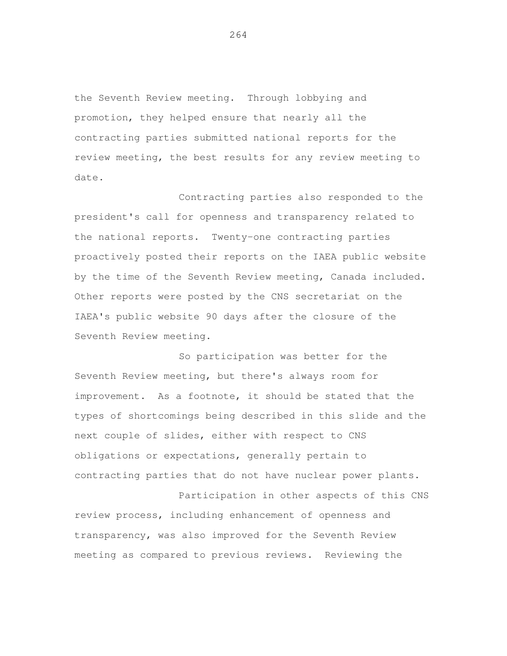the Seventh Review meeting. Through lobbying and promotion, they helped ensure that nearly all the contracting parties submitted national reports for the review meeting, the best results for any review meeting to date.

 Contracting parties also responded to the president's call for openness and transparency related to the national reports. Twenty-one contracting parties proactively posted their reports on the IAEA public website by the time of the Seventh Review meeting, Canada included. Other reports were posted by the CNS secretariat on the IAEA's public website 90 days after the closure of the Seventh Review meeting.

 So participation was better for the Seventh Review meeting, but there's always room for improvement. As a footnote, it should be stated that the types of shortcomings being described in this slide and the next couple of slides, either with respect to CNS obligations or expectations, generally pertain to contracting parties that do not have nuclear power plants.

 Participation in other aspects of this CNS review process, including enhancement of openness and transparency, was also improved for the Seventh Review meeting as compared to previous reviews. Reviewing the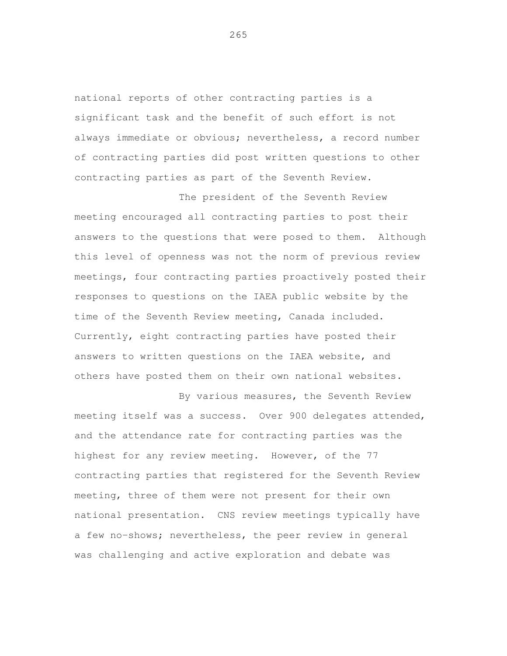national reports of other contracting parties is a significant task and the benefit of such effort is not always immediate or obvious; nevertheless, a record number of contracting parties did post written questions to other contracting parties as part of the Seventh Review.

 The president of the Seventh Review meeting encouraged all contracting parties to post their answers to the questions that were posed to them. Although this level of openness was not the norm of previous review meetings, four contracting parties proactively posted their responses to questions on the IAEA public website by the time of the Seventh Review meeting, Canada included. Currently, eight contracting parties have posted their answers to written questions on the IAEA website, and others have posted them on their own national websites.

 By various measures, the Seventh Review meeting itself was a success. Over 900 delegates attended, and the attendance rate for contracting parties was the highest for any review meeting. However, of the 77 contracting parties that registered for the Seventh Review meeting, three of them were not present for their own national presentation. CNS review meetings typically have a few no-shows; nevertheless, the peer review in general was challenging and active exploration and debate was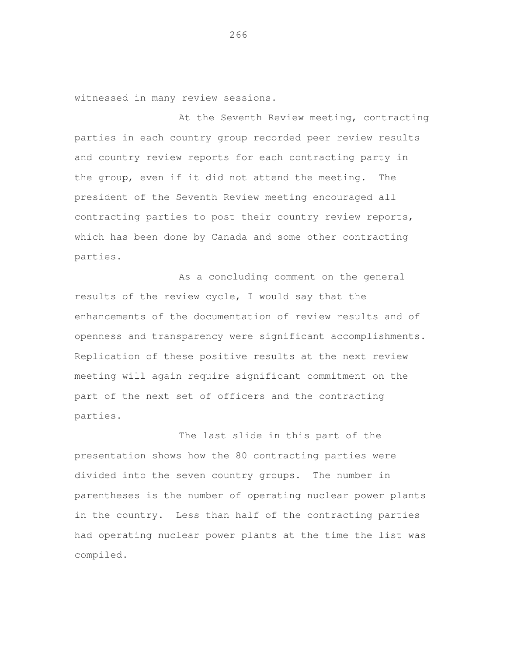witnessed in many review sessions.

At the Seventh Review meeting, contracting parties in each country group recorded peer review results and country review reports for each contracting party in the group, even if it did not attend the meeting. The president of the Seventh Review meeting encouraged all contracting parties to post their country review reports, which has been done by Canada and some other contracting parties.

 As a concluding comment on the general results of the review cycle, I would say that the enhancements of the documentation of review results and of openness and transparency were significant accomplishments. Replication of these positive results at the next review meeting will again require significant commitment on the part of the next set of officers and the contracting parties.

 The last slide in this part of the presentation shows how the 80 contracting parties were divided into the seven country groups. The number in parentheses is the number of operating nuclear power plants in the country. Less than half of the contracting parties had operating nuclear power plants at the time the list was compiled.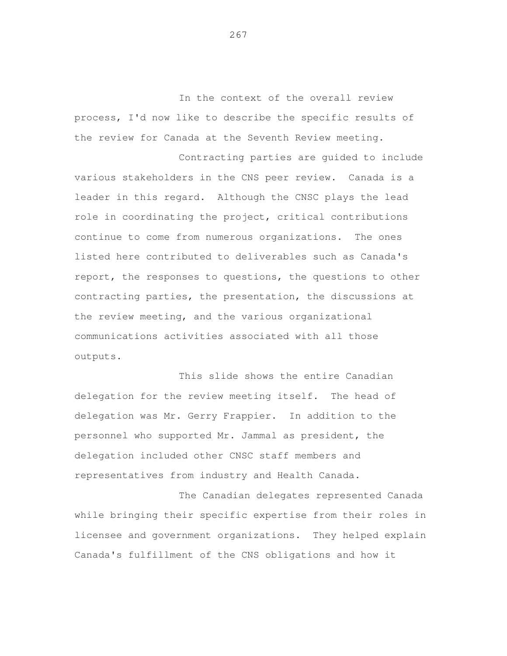In the context of the overall review process, I'd now like to describe the specific results of the review for Canada at the Seventh Review meeting.

 Contracting parties are guided to include various stakeholders in the CNS peer review. Canada is a leader in this regard. Although the CNSC plays the lead role in coordinating the project, critical contributions continue to come from numerous organizations. The ones listed here contributed to deliverables such as Canada's report, the responses to questions, the questions to other contracting parties, the presentation, the discussions at the review meeting, and the various organizational communications activities associated with all those outputs.

 This slide shows the entire Canadian delegation for the review meeting itself. The head of delegation was Mr. Gerry Frappier. In addition to the personnel who supported Mr. Jammal as president, the delegation included other CNSC staff members and representatives from industry and Health Canada.

 The Canadian delegates represented Canada while bringing their specific expertise from their roles in licensee and government organizations. They helped explain Canada's fulfillment of the CNS obligations and how it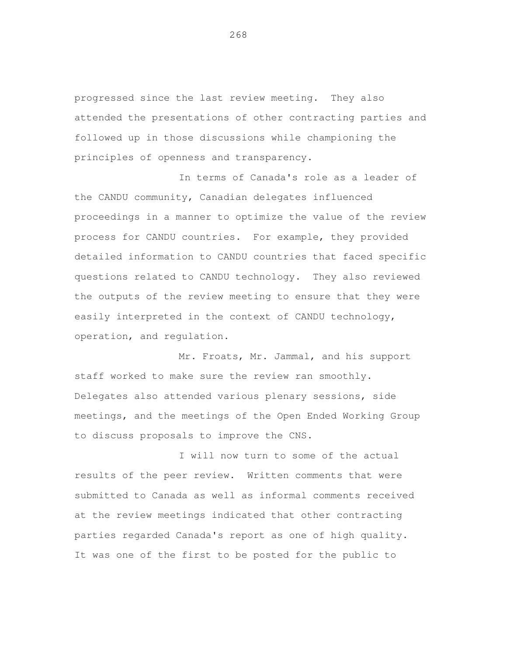progressed since the last review meeting. They also attended the presentations of other contracting parties and followed up in those discussions while championing the principles of openness and transparency.

 In terms of Canada's role as a leader of the CANDU community, Canadian delegates influenced proceedings in a manner to optimize the value of the review process for CANDU countries. For example, they provided detailed information to CANDU countries that faced specific questions related to CANDU technology. They also reviewed the outputs of the review meeting to ensure that they were easily interpreted in the context of CANDU technology, operation, and regulation.

 Mr. Froats, Mr. Jammal, and his support staff worked to make sure the review ran smoothly. Delegates also attended various plenary sessions, side meetings, and the meetings of the Open Ended Working Group to discuss proposals to improve the CNS.

 I will now turn to some of the actual results of the peer review. Written comments that were submitted to Canada as well as informal comments received at the review meetings indicated that other contracting parties regarded Canada's report as one of high quality. It was one of the first to be posted for the public to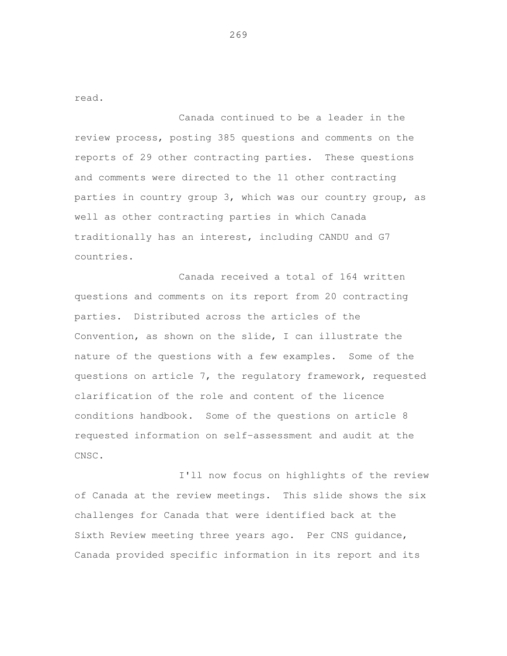read.

 Canada continued to be a leader in the review process, posting 385 questions and comments on the reports of 29 other contracting parties. These questions and comments were directed to the 11 other contracting parties in country group 3, which was our country group, as well as other contracting parties in which Canada traditionally has an interest, including CANDU and G7 countries.

 Canada received a total of 164 written questions and comments on its report from 20 contracting parties. Distributed across the articles of the Convention, as shown on the slide, I can illustrate the nature of the questions with a few examples. Some of the questions on article 7, the regulatory framework, requested clarification of the role and content of the licence conditions handbook. Some of the questions on article 8 requested information on self-assessment and audit at the CNSC.

 I'll now focus on highlights of the review of Canada at the review meetings. This slide shows the six challenges for Canada that were identified back at the Sixth Review meeting three years ago. Per CNS guidance, Canada provided specific information in its report and its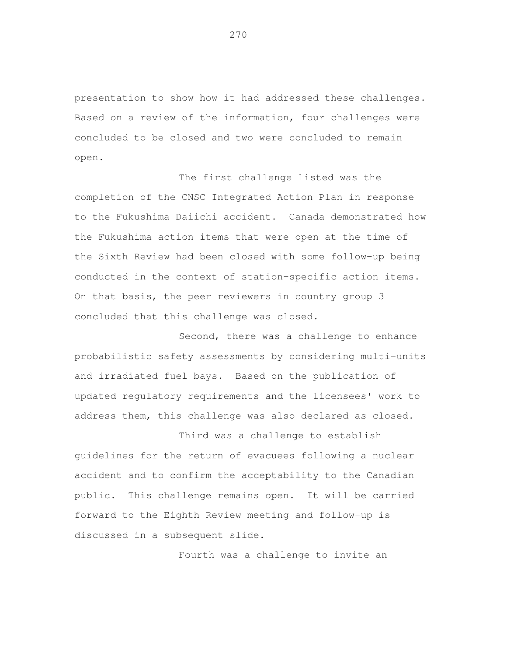presentation to show how it had addressed these challenges. Based on a review of the information, four challenges were concluded to be closed and two were concluded to remain open.

 The first challenge listed was the completion of the CNSC Integrated Action Plan in response to the Fukushima Daiichi accident. Canada demonstrated how the Fukushima action items that were open at the time of the Sixth Review had been closed with some follow-up being conducted in the context of station-specific action items. On that basis, the peer reviewers in country group 3 concluded that this challenge was closed.

 Second, there was a challenge to enhance probabilistic safety assessments by considering multi-units and irradiated fuel bays. Based on the publication of updated regulatory requirements and the licensees' work to address them, this challenge was also declared as closed.

 Third was a challenge to establish guidelines for the return of evacuees following a nuclear accident and to confirm the acceptability to the Canadian public. This challenge remains open. It will be carried forward to the Eighth Review meeting and follow-up is discussed in a subsequent slide.

Fourth was a challenge to invite an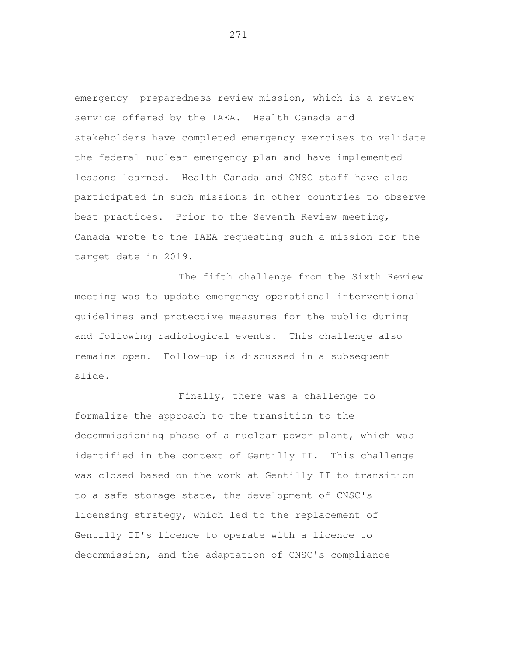emergency preparedness review mission, which is a review service offered by the IAEA. Health Canada and stakeholders have completed emergency exercises to validate the federal nuclear emergency plan and have implemented lessons learned. Health Canada and CNSC staff have also participated in such missions in other countries to observe best practices. Prior to the Seventh Review meeting, Canada wrote to the IAEA requesting such a mission for the target date in 2019.

The fifth challenge from the Sixth Review meeting was to update emergency operational interventional guidelines and protective measures for the public during and following radiological events. This challenge also remains open. Follow-up is discussed in a subsequent slide.

Finally, there was a challenge to formalize the approach to the transition to the decommissioning phase of a nuclear power plant, which was identified in the context of Gentilly II. This challenge was closed based on the work at Gentilly II to transition to a safe storage state, the development of CNSC's licensing strategy, which led to the replacement of Gentilly II's licence to operate with a licence to decommission, and the adaptation of CNSC's compliance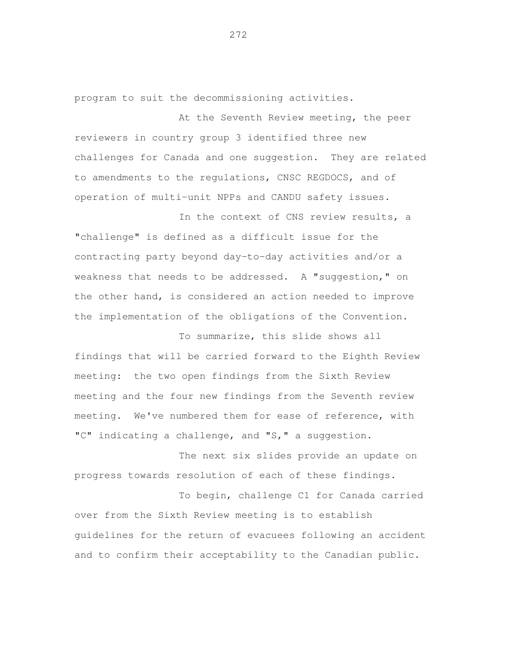program to suit the decommissioning activities.

At the Seventh Review meeting, the peer reviewers in country group 3 identified three new challenges for Canada and one suggestion. They are related to amendments to the regulations, CNSC REGDOCS, and of operation of multi-unit NPPs and CANDU safety issues.

In the context of CNS review results, a "challenge" is defined as a difficult issue for the contracting party beyond day-to-day activities and/or a weakness that needs to be addressed. A "suggestion," on the other hand, is considered an action needed to improve the implementation of the obligations of the Convention.

 To summarize, this slide shows all findings that will be carried forward to the Eighth Review meeting and the four new findings from the Seventh review meeting. We've numbered them for ease of reference, with "C" indicating a challenge, and "S," a suggestion. meeting: the two open findings from the Sixth Review

 The next six slides provide an update on progress towards resolution of each of these findings.

 To begin, challenge C1 for Canada carried over from the Sixth Review meeting is to establish guidelines for the return of evacuees following an accident and to confirm their acceptability to the Canadian public.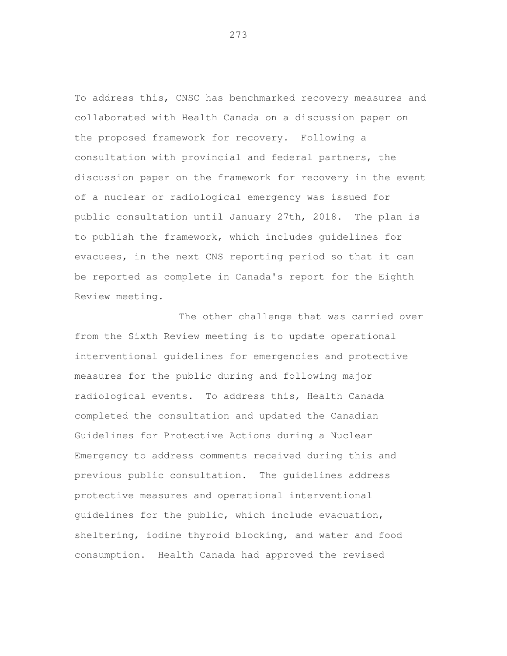To address this, CNSC has benchmarked recovery measures and collaborated with Health Canada on a discussion paper on the proposed framework for recovery. Following a consultation with provincial and federal partners, the discussion paper on the framework for recovery in the event of a nuclear or radiological emergency was issued for public consultation until January 27th, 2018. The plan is to publish the framework, which includes guidelines for evacuees, in the next CNS reporting period so that it can be reported as complete in Canada's report for the Eighth Review meeting.

 The other challenge that was carried over from the Sixth Review meeting is to update operational interventional guidelines for emergencies and protective measures for the public during and following major radiological events. To address this, Health Canada completed the consultation and updated the Canadian Guidelines for Protective Actions during a Nuclear Emergency to address comments received during this and previous public consultation. The guidelines address protective measures and operational interventional guidelines for the public, which include evacuation, sheltering, iodine thyroid blocking, and water and food consumption. Health Canada had approved the revised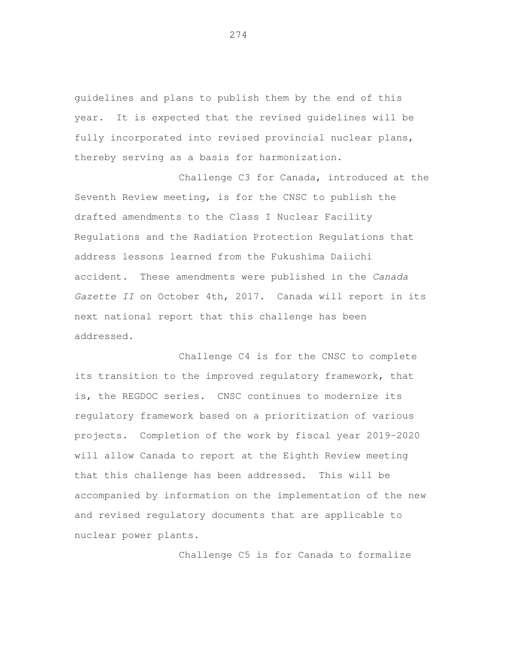guidelines and plans to publish them by the end of this year. It is expected that the revised guidelines will be fully incorporated into revised provincial nuclear plans, thereby serving as a basis for harmonization.

 Challenge C3 for Canada, introduced at the Seventh Review meeting, is for the CNSC to publish the drafted amendments to the Class I Nuclear Facility Regulations and the Radiation Protection Regulations that address lessons learned from the Fukushima Daiichi accident. These amendments were published in the Canada Gazette II on October 4th, 2017. Canada will report in its next national report that this challenge has been addressed.

 Challenge C4 is for the CNSC to complete its transition to the improved regulatory framework, that is, the REGDOC series. CNSC continues to modernize its regulatory framework based on a prioritization of various projects. Completion of the work by fiscal year 2019-2020 will allow Canada to report at the Eighth Review meeting that this challenge has been addressed. This will be accompanied by information on the implementation of the new and revised regulatory documents that are applicable to nuclear power plants.

Challenge C5 is for Canada to formalize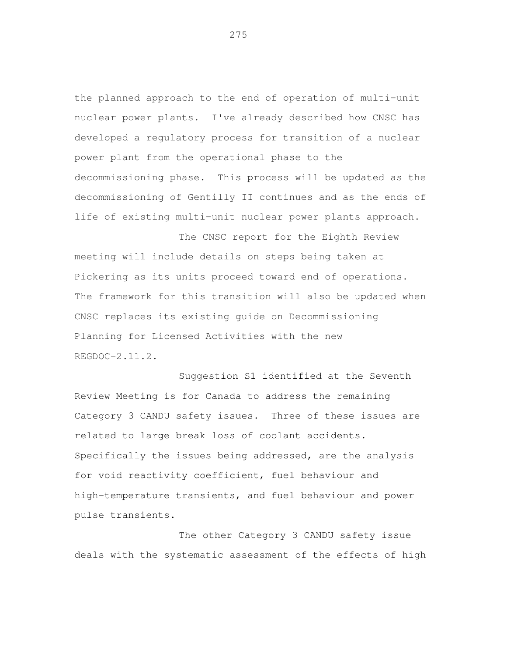the planned approach to the end of operation of multi-unit nuclear power plants. I've already described how CNSC has developed a regulatory process for transition of a nuclear power plant from the operational phase to the decommissioning phase. This process will be updated as the decommissioning of Gentilly II continues and as the ends of life of existing multi-unit nuclear power plants approach.

 The CNSC report for the Eighth Review meeting will include details on steps being taken at Pickering as its units proceed toward end of operations. The framework for this transition will also be updated when CNSC replaces its existing guide on Decommissioning Planning for Licensed Activities with the new REGDOC-2.11.2.

 Suggestion S1 identified at the Seventh Review Meeting is for Canada to address the remaining Category 3 CANDU safety issues. Three of these issues are related to large break loss of coolant accidents. Specifically the issues being addressed, are the analysis for void reactivity coefficient, fuel behaviour and high-temperature transients, and fuel behaviour and power pulse transients.

 The other Category 3 CANDU safety issue deals with the systematic assessment of the effects of high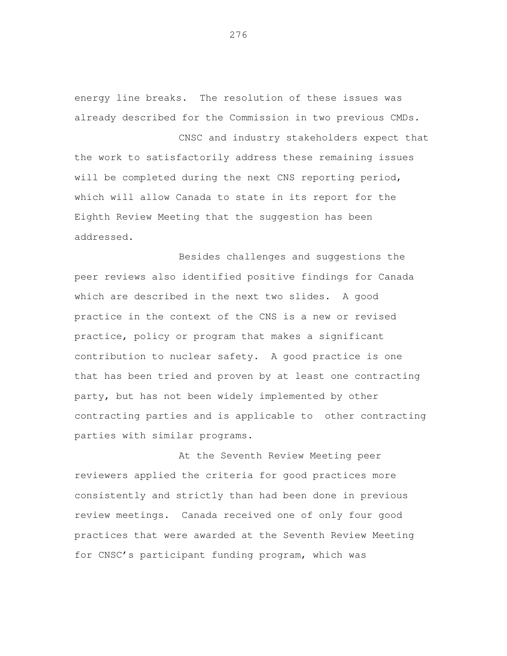energy line breaks. The resolution of these issues was already described for the Commission in two previous CMDs.

 CNSC and industry stakeholders expect that the work to satisfactorily address these remaining issues will be completed during the next CNS reporting period, which will allow Canada to state in its report for the Eighth Review Meeting that the suggestion has been addressed.

 Besides challenges and suggestions the peer reviews also identified positive findings for Canada which are described in the next two slides. A good practice in the context of the CNS is a new or revised practice, policy or program that makes a significant contribution to nuclear safety. A good practice is one that has been tried and proven by at least one contracting party, but has not been widely implemented by other contracting parties and is applicable to other contracting parties with similar programs.

 At the Seventh Review Meeting peer reviewers applied the criteria for good practices more consistently and strictly than had been done in previous review meetings. Canada received one of only four good practices that were awarded at the Seventh Review Meeting for CNSC's participant funding program, which was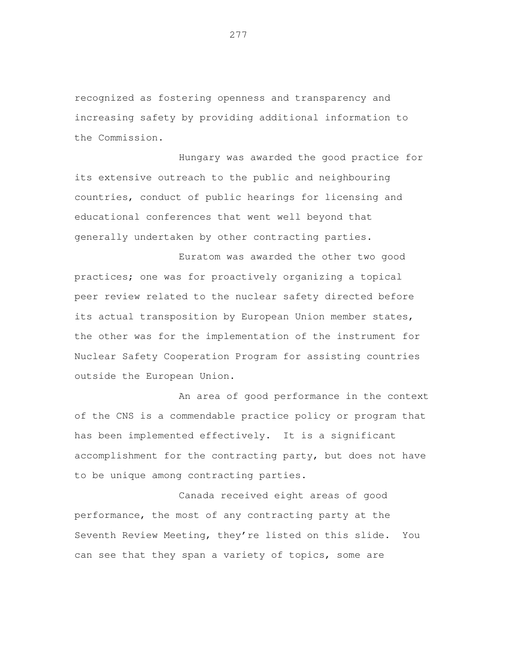recognized as fostering openness and transparency and increasing safety by providing additional information to the Commission.

 Hungary was awarded the good practice for its extensive outreach to the public and neighbouring countries, conduct of public hearings for licensing and educational conferences that went well beyond that generally undertaken by other contracting parties.

 Euratom was awarded the other two good practices; one was for proactively organizing a topical peer review related to the nuclear safety directed before its actual transposition by European Union member states, the other was for the implementation of the instrument for Nuclear Safety Cooperation Program for assisting countries outside the European Union.

 An area of good performance in the context of the CNS is a commendable practice policy or program that has been implemented effectively. It is a significant accomplishment for the contracting party, but does not have to be unique among contracting parties.

 Canada received eight areas of good performance, the most of any contracting party at the Seventh Review Meeting, they're listed on this slide. You can see that they span a variety of topics, some are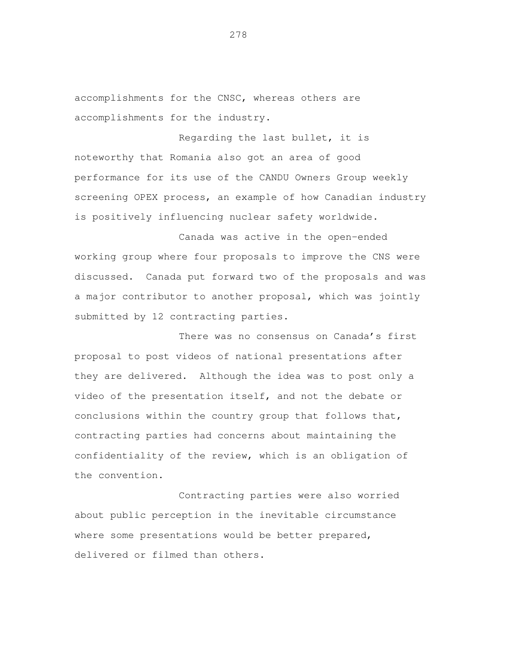accomplishments for the CNSC, whereas others are accomplishments for the industry.

 Regarding the last bullet, it is noteworthy that Romania also got an area of good performance for its use of the CANDU Owners Group weekly screening OPEX process, an example of how Canadian industry is positively influencing nuclear safety worldwide.

 Canada was active in the open-ended working group where four proposals to improve the CNS were discussed. Canada put forward two of the proposals and was a major contributor to another proposal, which was jointly submitted by 12 contracting parties.

 There was no consensus on Canada's first proposal to post videos of national presentations after they are delivered. Although the idea was to post only a video of the presentation itself, and not the debate or conclusions within the country group that follows that, contracting parties had concerns about maintaining the confidentiality of the review, which is an obligation of the convention.

 Contracting parties were also worried about public perception in the inevitable circumstance where some presentations would be better prepared, delivered or filmed than others.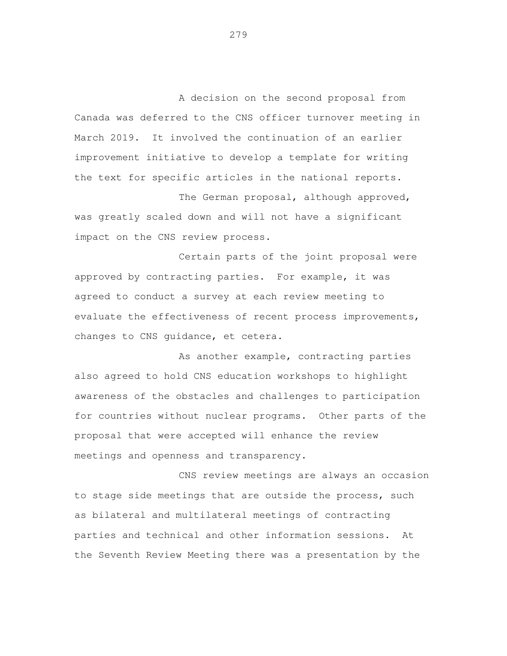A decision on the second proposal from Canada was deferred to the CNS officer turnover meeting in March 2019. It involved the continuation of an earlier improvement initiative to develop a template for writing the text for specific articles in the national reports.

 The German proposal, although approved, was greatly scaled down and will not have a significant impact on the CNS review process.

 Certain parts of the joint proposal were approved by contracting parties. For example, it was agreed to conduct a survey at each review meeting to evaluate the effectiveness of recent process improvements, changes to CNS guidance, et cetera.

 As another example, contracting parties also agreed to hold CNS education workshops to highlight awareness of the obstacles and challenges to participation for countries without nuclear programs. Other parts of the proposal that were accepted will enhance the review meetings and openness and transparency.

 CNS review meetings are always an occasion to stage side meetings that are outside the process, such as bilateral and multilateral meetings of contracting parties and technical and other information sessions. At the Seventh Review Meeting there was a presentation by the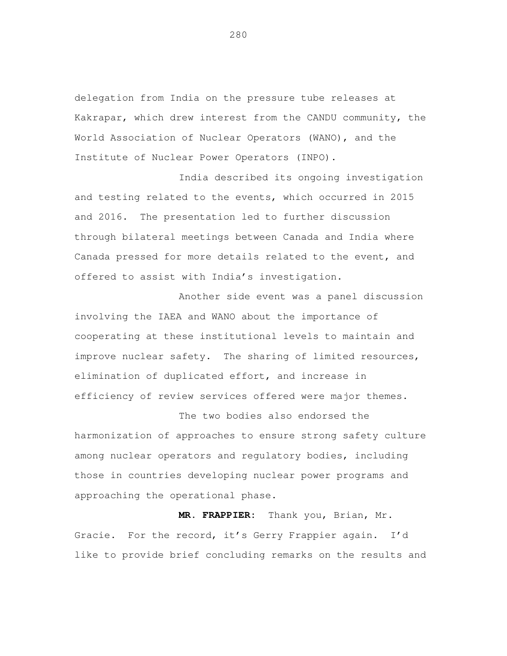delegation from India on the pressure tube releases at Kakrapar, which drew interest from the CANDU community, the World Association of Nuclear Operators (WANO), and the Institute of Nuclear Power Operators (INPO).

 India described its ongoing investigation and testing related to the events, which occurred in 2015 and 2016. The presentation led to further discussion through bilateral meetings between Canada and India where Canada pressed for more details related to the event, and offered to assist with India's investigation.

 Another side event was a panel discussion involving the IAEA and WANO about the importance of cooperating at these institutional levels to maintain and improve nuclear safety. The sharing of limited resources, elimination of duplicated effort, and increase in efficiency of review services offered were major themes.

 The two bodies also endorsed the harmonization of approaches to ensure strong safety culture among nuclear operators and regulatory bodies, including those in countries developing nuclear power programs and approaching the operational phase.

 **MR. FRAPPIER:** Thank you, Brian, Mr. Gracie. For the record, it's Gerry Frappier again. I'd like to provide brief concluding remarks on the results and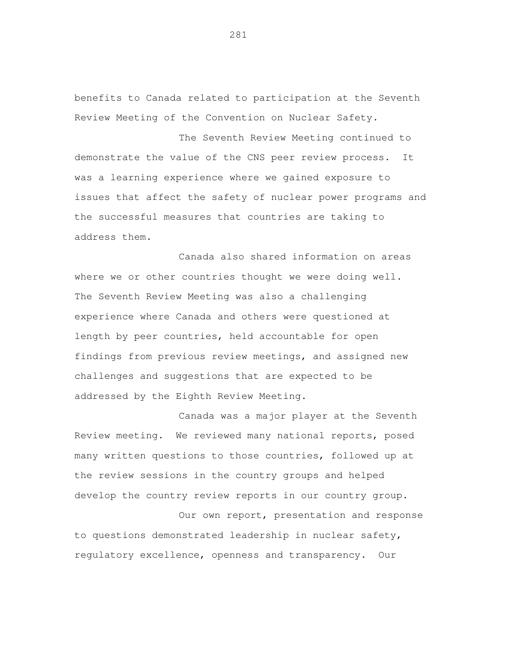benefits to Canada related to participation at the Seventh Review Meeting of the Convention on Nuclear Safety.

 The Seventh Review Meeting continued to demonstrate the value of the CNS peer review process. It was a learning experience where we gained exposure to issues that affect the safety of nuclear power programs and the successful measures that countries are taking to address them.

 Canada also shared information on areas where we or other countries thought we were doing well. The Seventh Review Meeting was also a challenging experience where Canada and others were questioned at length by peer countries, held accountable for open findings from previous review meetings, and assigned new challenges and suggestions that are expected to be addressed by the Eighth Review Meeting.

 Canada was a major player at the Seventh Review meeting. We reviewed many national reports, posed many written questions to those countries, followed up at the review sessions in the country groups and helped develop the country review reports in our country group.

 Our own report, presentation and response to questions demonstrated leadership in nuclear safety, regulatory excellence, openness and transparency. Our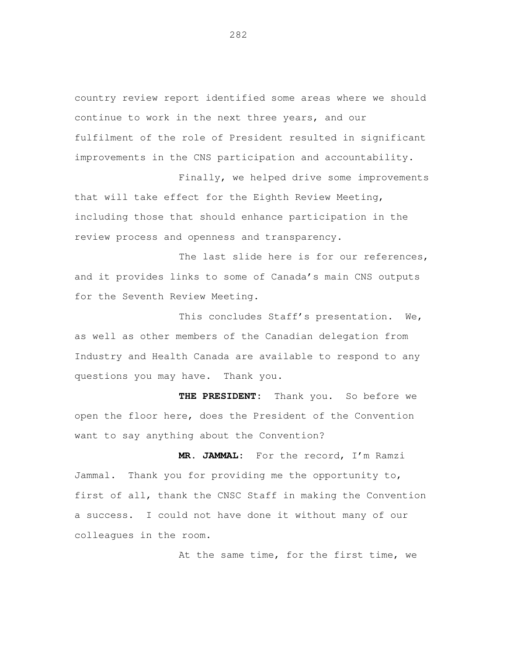country review report identified some areas where we should continue to work in the next three years, and our fulfilment of the role of President resulted in significant improvements in the CNS participation and accountability.

 Finally, we helped drive some improvements that will take effect for the Eighth Review Meeting, including those that should enhance participation in the review process and openness and transparency.

The last slide here is for our references, and it provides links to some of Canada's main CNS outputs for the Seventh Review Meeting.

 This concludes Staff's presentation. We, as well as other members of the Canadian delegation from Industry and Health Canada are available to respond to any questions you may have. Thank you.

 **THE PRESIDENT:** Thank you. So before we open the floor here, does the President of the Convention want to say anything about the Convention?

 **MR. JAMMAL:** For the record, I'm Ramzi Jammal. Thank you for providing me the opportunity to, first of all, thank the CNSC Staff in making the Convention a success. I could not have done it without many of our colleagues in the room.

At the same time, for the first time, we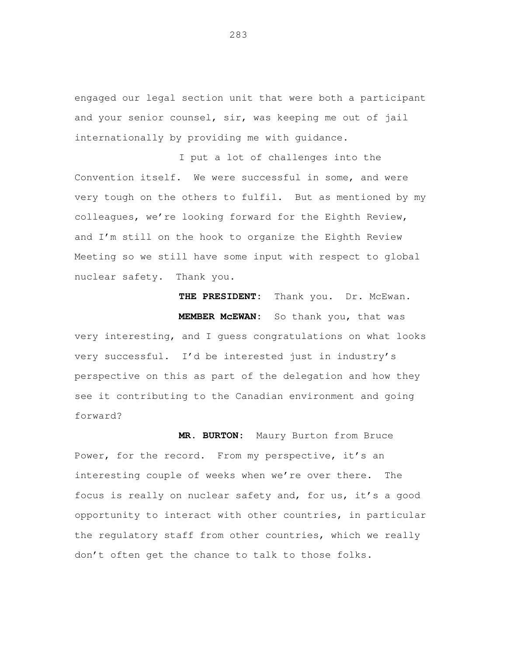engaged our legal section unit that were both a participant and your senior counsel, sir, was keeping me out of jail internationally by providing me with guidance.

I put a lot of challenges into the Convention itself. We were successful in some, and were very tough on the others to fulfil. But as mentioned by my colleagues, we're looking forward for the Eighth Review, and I'm still on the hook to organize the Eighth Review Meeting so we still have some input with respect to global nuclear safety. Thank you.

THE PRESIDENT: Thank you. Dr. McEwan. **MEMBER McEWAN:** So thank you, that was very interesting, and I guess congratulations on what looks very successful. I'd be interested just in industry's perspective on this as part of the delegation and how they see it contributing to the Canadian environment and going forward?

**MR. BURTON:** Maury Burton from Bruce Power, for the record. From my perspective, it's an interesting couple of weeks when we're over there. The focus is really on nuclear safety and, for us, it's a good opportunity to interact with other countries, in particular the regulatory staff from other countries, which we really don't often get the chance to talk to those folks.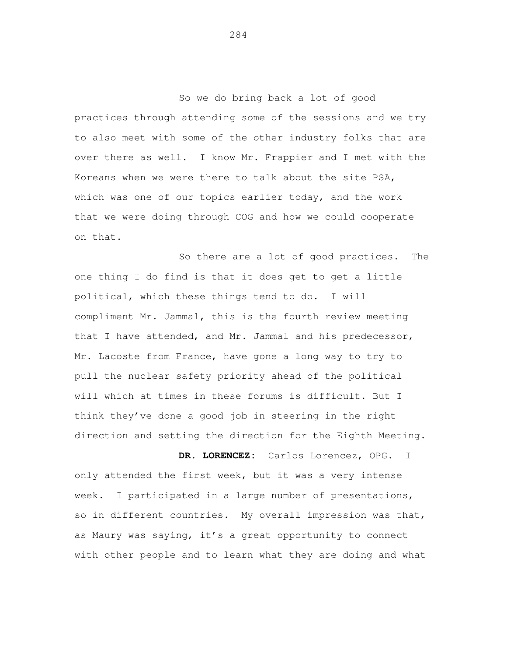So we do bring back a lot of good practices through attending some of the sessions and we try to also meet with some of the other industry folks that are over there as well. I know Mr. Frappier and I met with the Koreans when we were there to talk about the site PSA, which was one of our topics earlier today, and the work that we were doing through COG and how we could cooperate on that.

 So there are a lot of good practices. The one thing I do find is that it does get to get a little political, which these things tend to do. I will compliment Mr. Jammal, this is the fourth review meeting that I have attended, and Mr. Jammal and his predecessor, Mr. Lacoste from France, have gone a long way to try to pull the nuclear safety priority ahead of the political will which at times in these forums is difficult. But I think they've done a good job in steering in the right direction and setting the direction for the Eighth Meeting.

 **DR. LORENCEZ:** Carlos Lorencez, OPG. I only attended the first week, but it was a very intense week. so in different countries. My overall impression was that, as Maury was saying, it's a great opportunity to connect with other people and to learn what they are doing and what I participated in a large number of presentations,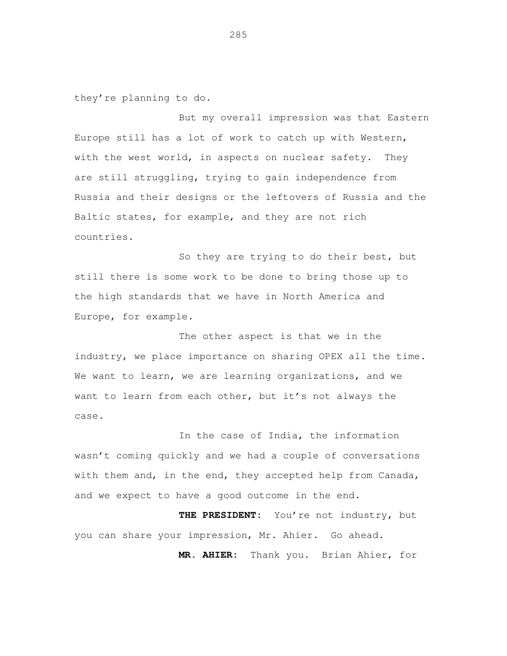they're planning to do.

 But my overall impression was that Eastern Europe still has a lot of work to catch up with Western, with the west world, in aspects on nuclear safety. They are still struggling, trying to gain independence from Russia and their designs or the leftovers of Russia and the Baltic states, for example, and they are not rich countries.

 So they are trying to do their best, but still there is some work to be done to bring those up to the high standards that we have in North America and Europe, for example.

 The other aspect is that we in the industry, we place importance on sharing OPEX all the time. We want to learn, we are learning organizations, and we want to learn from each other, but it's not always the case.

 In the case of India, the information wasn't coming quickly and we had a couple of conversations with them and, in the end, they accepted help from Canada, and we expect to have a good outcome in the end.

 **THE PRESIDENT:** You're not industry, but you can share your impression, Mr. Ahier. Go ahead.

**MR. AHIER:** Thank you. Brian Ahier, for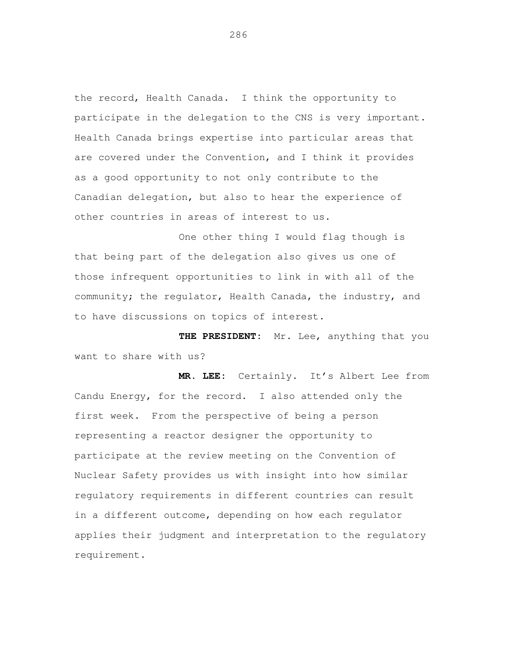the record, Health Canada. I think the opportunity to participate in the delegation to the CNS is very important. Health Canada brings expertise into particular areas that are covered under the Convention, and I think it provides as a good opportunity to not only contribute to the Canadian delegation, but also to hear the experience of other countries in areas of interest to us.

 One other thing I would flag though is that being part of the delegation also gives us one of those infrequent opportunities to link in with all of the community; the regulator, Health Canada, the industry, and to have discussions on topics of interest.

 **THE PRESIDENT:** Mr. Lee, anything that you want to share with us?

 **MR. LEE:** Certainly. It's Albert Lee from Candu Energy, for the record. I also attended only the first week. From the perspective of being a person representing a reactor designer the opportunity to participate at the review meeting on the Convention of Nuclear Safety provides us with insight into how similar regulatory requirements in different countries can result in a different outcome, depending on how each regulator applies their judgment and interpretation to the regulatory requirement.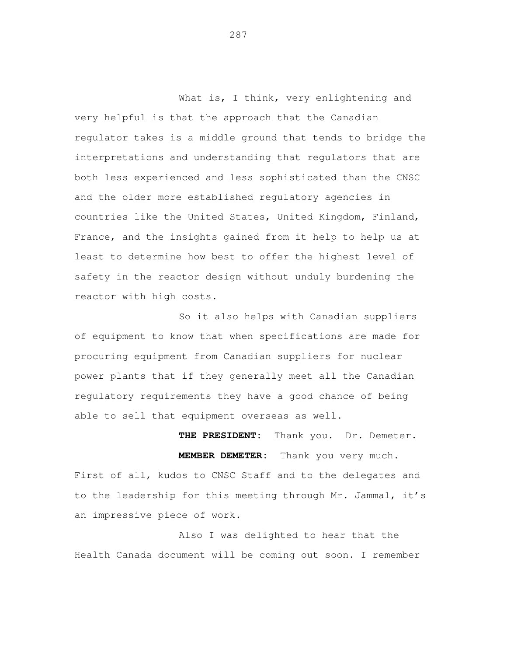What is, I think, very enlightening and very helpful is that the approach that the Canadian regulator takes is a middle ground that tends to bridge the interpretations and understanding that regulators that are both less experienced and less sophisticated than the CNSC and the older more established regulatory agencies in countries like the United States, United Kingdom, Finland, France, and the insights gained from it help to help us at least to determine how best to offer the highest level of safety in the reactor design without unduly burdening the reactor with high costs.

 So it also helps with Canadian suppliers of equipment to know that when specifications are made for procuring equipment from Canadian suppliers for nuclear power plants that if they generally meet all the Canadian regulatory requirements they have a good chance of being able to sell that equipment overseas as well.

 **THE PRESIDENT:** Thank you. Dr. Demeter. **MEMBER DEMETER:** Thank you very much. First of all, kudos to CNSC Staff and to the delegates and to the leadership for this meeting through Mr. Jammal, it's an impressive piece of work.

 Also I was delighted to hear that the Health Canada document will be coming out soon. I remember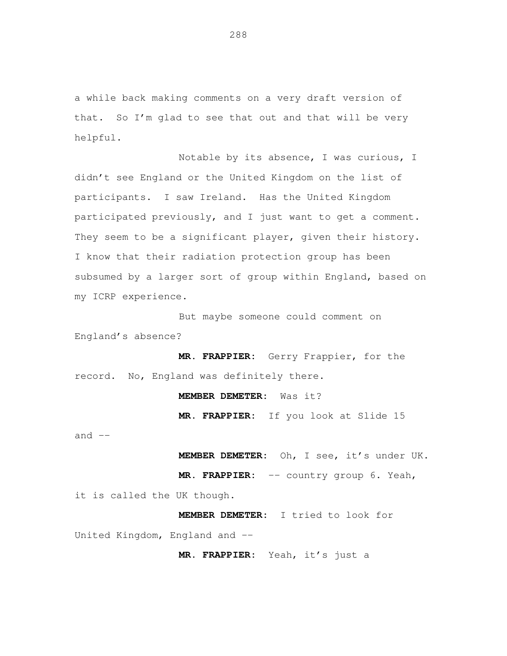a while back making comments on a very draft version of that. So I'm glad to see that out and that will be very helpful.

Notable by its absence, I was curious, I didn't see England or the United Kingdom on the list of participants. I saw Ireland. Has the United Kingdom participated previously, and I just want to get a comment. They seem to be a significant player, given their history. I know that their radiation protection group has been subsumed by a larger sort of group within England, based on my ICRP experience.

But maybe someone could comment on England's absence?

**MR. FRAPPIER:** Gerry Frappier, for the record. No, England was definitely there.

## **MEMBER DEMETER:** Was it?

**MR. FRAPPIER:** If you look at Slide 15

and  $--$ 

**MEMBER DEMETER:** Oh, I see, it's under UK.

**MR. FRAPPIER:** -- country group 6. Yeah,

it is called the UK though.

**MEMBER DEMETER:** I tried to look for United Kingdom, England and -- $\overline{a}$ 

**MR. FRAPPIER:** Yeah, it's just a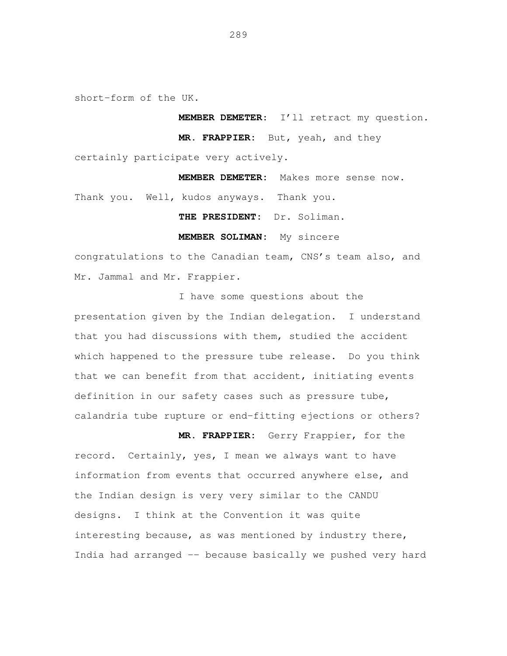short-form of the UK.

**MEMBER DEMETER**: I'll retract my question.

**MR. FRAPPIER:** But, yeah, and they

certainly participate very actively.

**MEMBER DEMETER:** Makes more sense now.

Thank you. Well, kudos anyways. Thank you.

**THE PRESIDENT:** Dr. Soliman.

**MEMBER SOLIMAN:** My sincere

congratulations to the Canadian team, CNS's team also, and Mr. Jammal and Mr. Frappier.

I have some questions about the presentation given by the Indian delegation. I understand that you had discussions with them, studied the accident which happened to the pressure tube release. Do you think that we can benefit from that accident, initiating events definition in our safety cases such as pressure tube, calandria tube rupture or end-fitting ejections or others?

**MR. FRAPPIER:** Gerry Frappier, for the record. Certainly, yes, I mean we always want to have information from events that occurred anywhere else, and the Indian design is very very similar to the CANDU designs. I think at the Convention it was quite interesting because, as was mentioned by industry there, India had arranged -- because basically we pushed very hard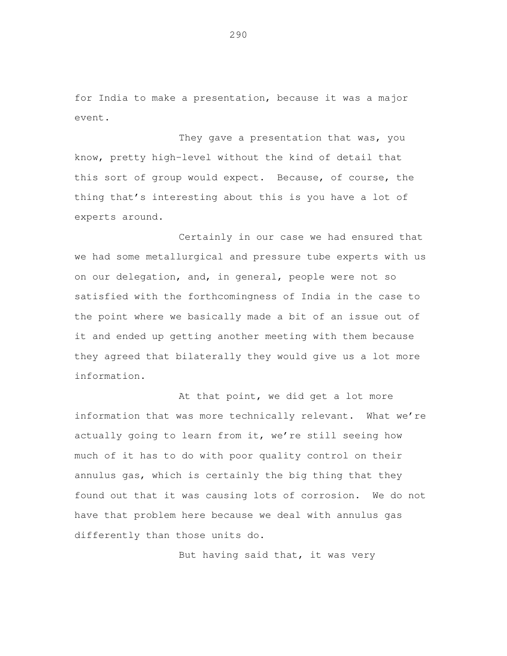for India to make a presentation, because it was a major event.

 They gave a presentation that was, you know, pretty high-level without the kind of detail that this sort of group would expect. Because, of course, the thing that's interesting about this is you have a lot of experts around.

 Certainly in our case we had ensured that we had some metallurgical and pressure tube experts with us on our delegation, and, in general, people were not so satisfied with the forthcomingness of India in the case to the point where we basically made a bit of an issue out of it and ended up getting another meeting with them because they agreed that bilaterally they would give us a lot more information.

At that point, we did get a lot more information that was more technically relevant. What we're actually going to learn from it, we're still seeing how much of it has to do with poor quality control on their annulus gas, which is certainly the big thing that they found out that it was causing lots of corrosion. We do not have that problem here because we deal with annulus gas differently than those units do.

But having said that, it was very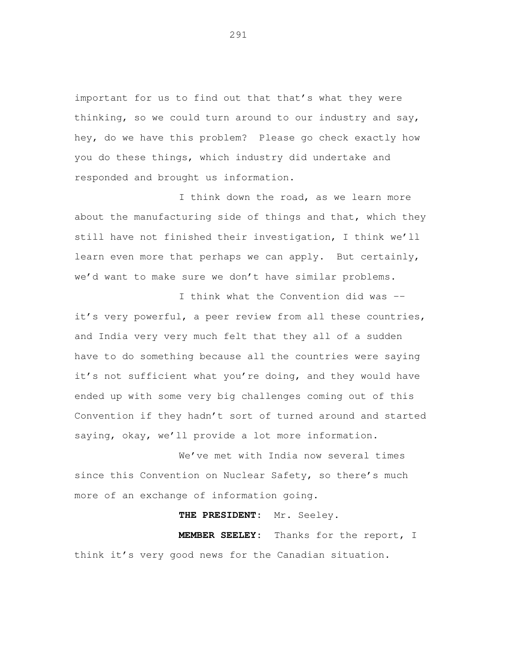important for us to find out that that's what they were hey, do we have this problem? Please go check exactly how you do these things, which industry did undertake and responded and brought us information. thinking, so we could turn around to our industry and say,

 I think down the road, as we learn more about the manufacturing side of things and that, which they still have not finished their investigation, I think we'll learn even more that perhaps we can apply. But certainly, we'd want to make sure we don't have similar problems.

I think what the Convention did was - it's very powerful, a peer review from all these countries, and India very very much felt that they all of a sudden have to do something because all the countries were saying it's not sufficient what you're doing, and they would have ended up with some very big challenges coming out of this Convention if they hadn't sort of turned around and started saying, okay, we'll provide a lot more information.

 We've met with India now several times since this Convention on Nuclear Safety, so there's much more of an exchange of information going.

## **THE PRESIDENT:** Mr. Seeley.

MEMBER SEELEY: think it's very good news for the Canadian situation. Thanks for the report, I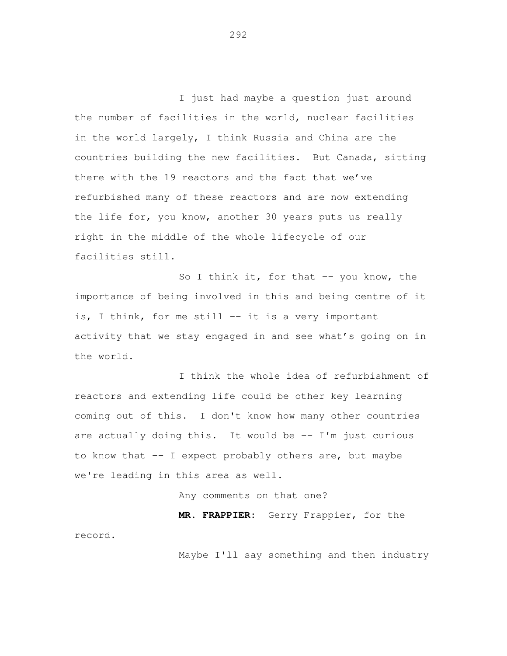I just had maybe a question just around the number of facilities in the world, nuclear facilities in the world largely, I think Russia and China are the countries building the new facilities. But Canada, sitting there with the 19 reactors and the fact that we've refurbished many of these reactors and are now extending the life for, you know, another 30 years puts us really right in the middle of the whole lifecycle of our facilities still.

So I think it, for that -- you know, the importance of being involved in this and being centre of it is, I think, for me still -- it is a very important activity that we stay engaged in and see what's going on in the world.

 I think the whole idea of refurbishment of reactors and extending life could be other key learning coming out of this. I don't know how many other countries are actually doing this. It would be -- I'm just curious to know that -- I expect probably others are, but maybe we're leading in this area as well.

Any comments on that one?

 **MR. FRAPPIER:** Gerry Frappier, for the record.

Maybe I'll say something and then industry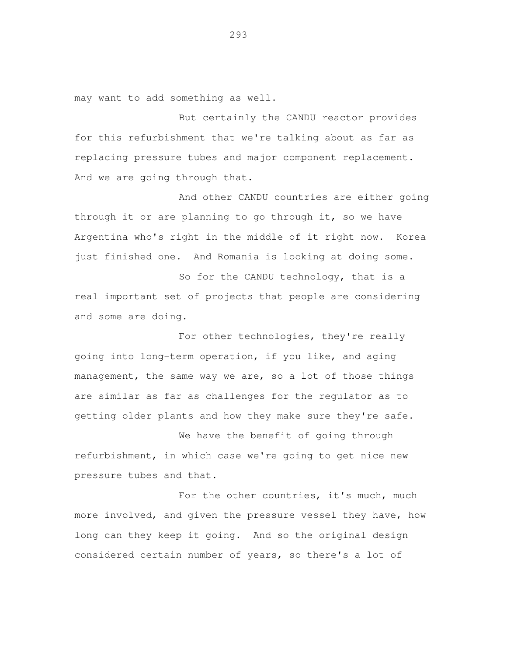may want to add something as well.

 But certainly the CANDU reactor provides for this refurbishment that we're talking about as far as replacing pressure tubes and major component replacement. And we are going through that.

 And other CANDU countries are either going through it or are planning to go through it, so we have Argentina who's right in the middle of it right now. Korea just finished one. And Romania is looking at doing some.

 So for the CANDU technology, that is a real important set of projects that people are considering and some are doing.

For other technologies, they're really going into long-term operation, if you like, and aging management, the same way we are, so a lot of those things are similar as far as challenges for the regulator as to getting older plants and how they make sure they're safe.

 We have the benefit of going through refurbishment, in which case we're going to get nice new pressure tubes and that.

For the other countries, it's much, much more involved, and given the pressure vessel they have, how long can they keep it going. And so the original design considered certain number of years, so there's a lot of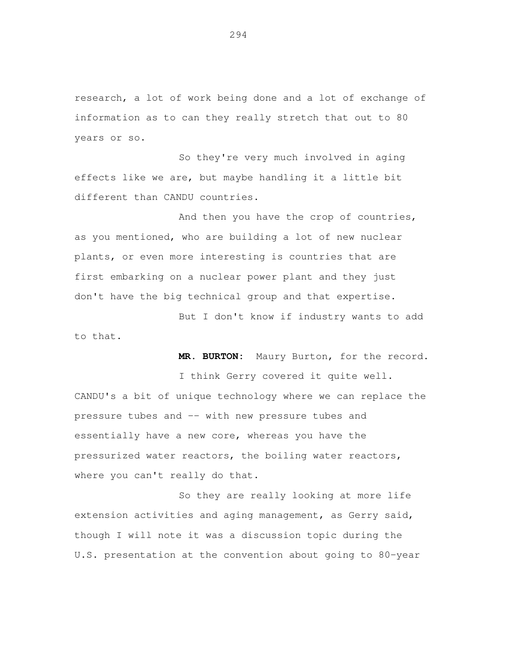research, a lot of work being done and a lot of exchange of information as to can they really stretch that out to 80 years or so.

 So they're very much involved in aging effects like we are, but maybe handling it a little bit different than CANDU countries.

And then you have the crop of countries, as you mentioned, who are building a lot of new nuclear plants, or even more interesting is countries that are first embarking on a nuclear power plant and they just don't have the big technical group and that expertise.

 But I don't know if industry wants to add to that.

**MR. BURTON:** Maury Burton, for the record.

 I think Gerry covered it quite well. CANDU's a bit of unique technology where we can replace the pressure tubes and -- with new pressure tubes and essentially have a new core, whereas you have the pressurized water reactors, the boiling water reactors, where you can't really do that.

 So they are really looking at more life extension activities and aging management, as Gerry said, though I will note it was a discussion topic during the U.S. presentation at the convention about going to 80-year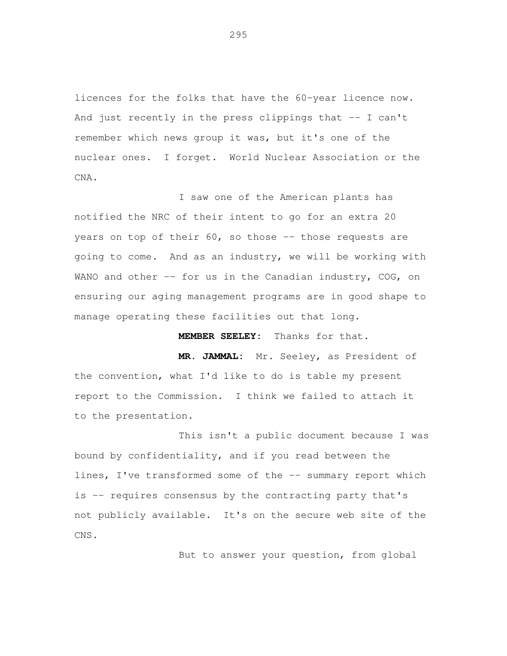licences for the folks that have the 60-year licence now. And just recently in the press clippings that -- I can't remember which news group it was, but it's one of the nuclear ones. I forget. World Nuclear Association or the CNA.

I saw one of the American plants has notified the NRC of their intent to go for an extra 20 years on top of their  $60$ , so those  $-$  those requests are going to come. And as an industry, we will be working with WANO and other  $-$  for us in the Canadian industry, COG, on ensuring our aging management programs are in good shape to manage operating these facilities out that long.

**MEMBER SEELEY:** Thanks for that.

**MR. JAMMAL:** Mr. Seeley, as President of the convention, what I'd like to do is table my present report to the Commission. I think we failed to attach it to the presentation.

This isn't a public document because I was bound by confidentiality, and if you read between the lines, I've transformed some of the -- summary report which is -- requires consensus by the contracting party that's not publicly available. It's on the secure web site of the CNS.

But to answer your question, from global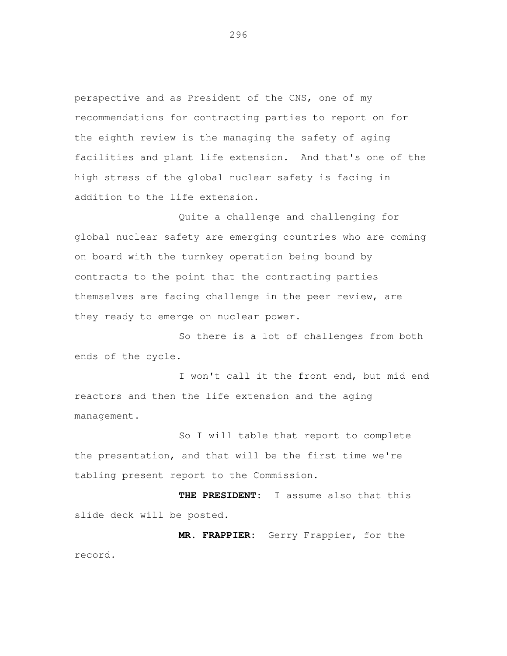perspective and as President of the CNS, one of my recommendations for contracting parties to report on for the eighth review is the managing the safety of aging facilities and plant life extension. And that's one of the high stress of the global nuclear safety is facing in addition to the life extension.

 Quite a challenge and challenging for global nuclear safety are emerging countries who are coming on board with the turnkey operation being bound by contracts to the point that the contracting parties themselves are facing challenge in the peer review, are they ready to emerge on nuclear power.

 So there is a lot of challenges from both ends of the cycle.

 I won't call it the front end, but mid end reactors and then the life extension and the aging management.

 So I will table that report to complete the presentation, and that will be the first time we're tabling present report to the Commission.

 **THE PRESIDENT:** I assume also that this slide deck will be posted.

 **MR. FRAPPIER:** Gerry Frappier, for the record.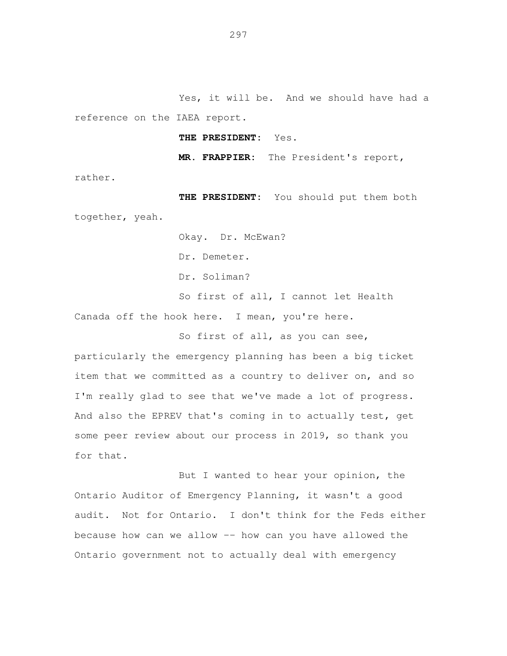Yes, it will be. And we should have had a reference on the IAEA report.

 **THE PRESIDENT:** Yes.

**MR. FRAPPIER:** The President's report,

rather.

 **THE PRESIDENT:** You should put them both together, yeah.

Okay. Dr. McEwan?

Dr. Demeter.

Dr. Soliman?

 So first of all, I cannot let Health Canada off the hook here. I mean, you're here.

So first of all, as you can see,

 particularly the emergency planning has been a big ticket item that we committed as a country to deliver on, and so I'm really glad to see that we've made a lot of progress. And also the EPREV that's coming in to actually test, get some peer review about our process in 2019, so thank you for that.

 But I wanted to hear your opinion, the Ontario Auditor of Emergency Planning, it wasn't a good audit. Not for Ontario. I don't think for the Feds either because how can we allow -- how can you have allowed the Ontario government not to actually deal with emergency